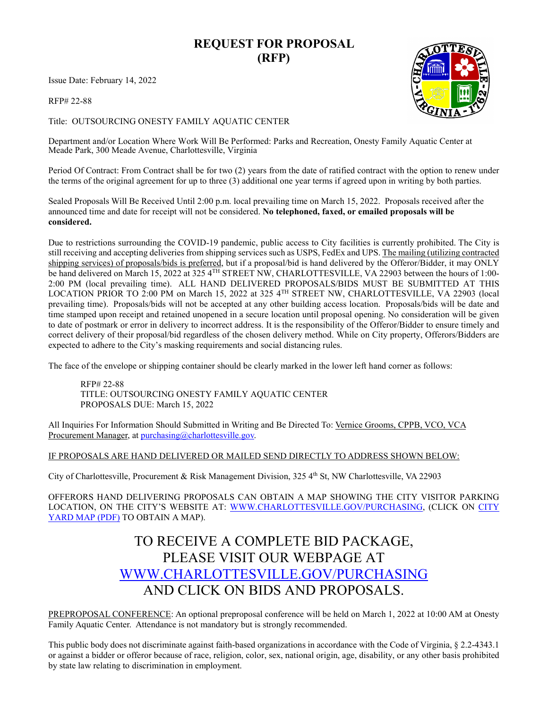## **REQUEST FOR PROPOSAL (RFP)**

Issue Date: February 14, 2022

RFP# 22-88

Title: OUTSOURCING ONESTY FAMILY AQUATIC CENTER

Department and/or Location Where Work Will Be Performed: Parks and Recreation, Onesty Family Aquatic Center at Meade Park, 300 Meade Avenue, Charlottesville, Virginia

Period Of Contract: From Contract shall be for two (2) years from the date of ratified contract with the option to renew under the terms of the original agreement for up to three (3) additional one year terms if agreed upon in writing by both parties.

Sealed Proposals Will Be Received Until 2:00 p.m. local prevailing time on March 15, 2022. Proposals received after the announced time and date for receipt will not be considered. **No telephoned, faxed, or emailed proposals will be considered.** 

Due to restrictions surrounding the COVID-19 pandemic, public access to City facilities is currently prohibited. The City is still receiving and accepting deliveries from shipping services such as USPS, FedEx and UPS. The mailing (utilizing contracted shipping services) of proposals/bids is preferred, but if a proposal/bid is hand delivered by the Offeror/Bidder, it may ONLY be hand delivered on March 15, 2022 at 325 4TH STREET NW, CHARLOTTESVILLE, VA 22903 between the hours of 1:00- 2:00 PM (local prevailing time). ALL HAND DELIVERED PROPOSALS/BIDS MUST BE SUBMITTED AT THIS LOCATION PRIOR TO 2:00 PM on March 15, 2022 at 325 4TH STREET NW, CHARLOTTESVILLE, VA 22903 (local prevailing time). Proposals/bids will not be accepted at any other building access location. Proposals/bids will be date and time stamped upon receipt and retained unopened in a secure location until proposal opening. No consideration will be given to date of postmark or error in delivery to incorrect address. It is the responsibility of the Offeror/Bidder to ensure timely and correct delivery of their proposal/bid regardless of the chosen delivery method. While on City property, Offerors/Bidders are expected to adhere to the City's masking requirements and social distancing rules.

The face of the envelope or shipping container should be clearly marked in the lower left hand corner as follows:

RFP# 22-88 TITLE: OUTSOURCING ONESTY FAMILY AQUATIC CENTER PROPOSALS DUE: March 15, 2022

All Inquiries For Information Should Submitted in Writing and Be Directed To: Vernice Grooms, CPPB, VCO, VCA Procurement Manager, at [purchasing@charlottesville.gov.](mailto:purchasing@charlottesville.gov)

### IF PROPOSALS ARE HAND DELIVERED OR MAILED SEND DIRECTLY TO ADDRESS SHOWN BELOW:

City of Charlottesville, Procurement & Risk Management Division, 325 4<sup>th</sup> St, NW Charlottesville, VA 22903

OFFERORS HAND DELIVERING PROPOSALS CAN OBTAIN A MAP SHOWING THE CITY VISITOR PARKING LOCATION, ON THE CITY'S WEBSITE AT: [WWW.CHARLOTTESVILLE.GOV/PURCHASING,](http://www.charlottesville.gov/PURCHASING) (CLICK ON [CITY](https://www.charlottesville.gov/DocumentCenter/View/816/Public-Works-Yard-Map-PDF)  [YARD MAP \(PDF\)](https://www.charlottesville.gov/DocumentCenter/View/816/Public-Works-Yard-Map-PDF) TO OBTAIN A MAP).

# TO RECEIVE A COMPLETE BID PACKAGE, PLEASE VISIT OUR WEBPAGE AT [WWW.CHARLOTTESVILLE.GOV/PURCHASING](http://www.charlottesville.gov/PURCHASING) AND CLICK ON BIDS AND PROPOSALS.

PREPROPOSAL CONFERENCE: An optional preproposal conference will be held on March 1, 2022 at 10:00 AM at Onesty Family Aquatic Center. Attendance is not mandatory but is strongly recommended.

This public body does not discriminate against faith-based organizations in accordance with the Code of Virginia, § 2.2-4343.1 or against a bidder or offeror because of race, religion, color, sex, national origin, age, disability, or any other basis prohibited by state law relating to discrimination in employment.

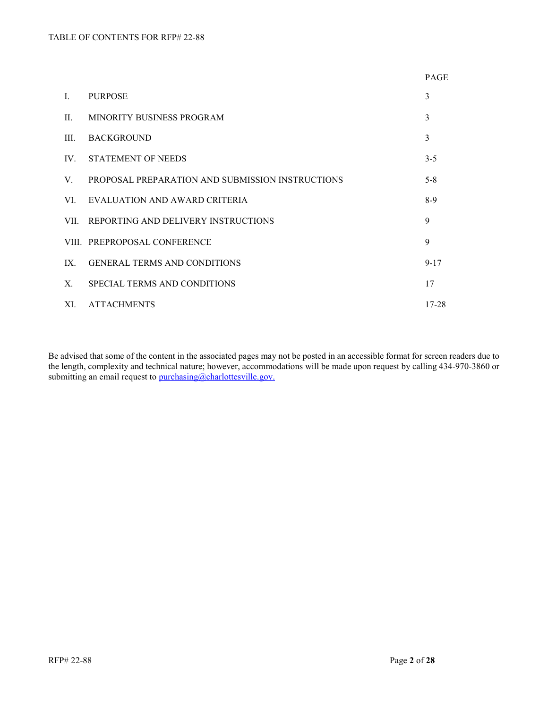|                |                                                  | <b>PAGE</b> |
|----------------|--------------------------------------------------|-------------|
| $\mathbf{I}$ . | <b>PURPOSE</b>                                   | 3           |
| II.            | MINORITY BUSINESS PROGRAM                        | 3           |
| III.           | <b>BACKGROUND</b>                                | 3           |
| $IV_{-}$       | STATEMENT OF NEEDS                               | $3 - 5$     |
| V.             | PROPOSAL PREPARATION AND SUBMISSION INSTRUCTIONS | $5 - 8$     |
| VL.            | EVALUATION AND AWARD CRITERIA                    | $8-9$       |
| VII.           | REPORTING AND DELIVERY INSTRUCTIONS              | 9           |
|                | VIII. PREPROPOSAL CONFERENCE                     | 9           |
| IX.            | <b>GENERAL TERMS AND CONDITIONS</b>              | $9 - 17$    |
| $X_{-}$        | SPECIAL TERMS AND CONDITIONS                     | 17          |
| XI.            | <b>ATTACHMENTS</b>                               | 17-28       |

Be advised that some of the content in the associated pages may not be posted in an accessible format for screen readers due to the length, complexity and technical nature; however, accommodations will be made upon request by calling 434-970-3860 or submitting an email request to [purchasing@charlottesville.gov.](mailto:purchasing@charlottesville.gov)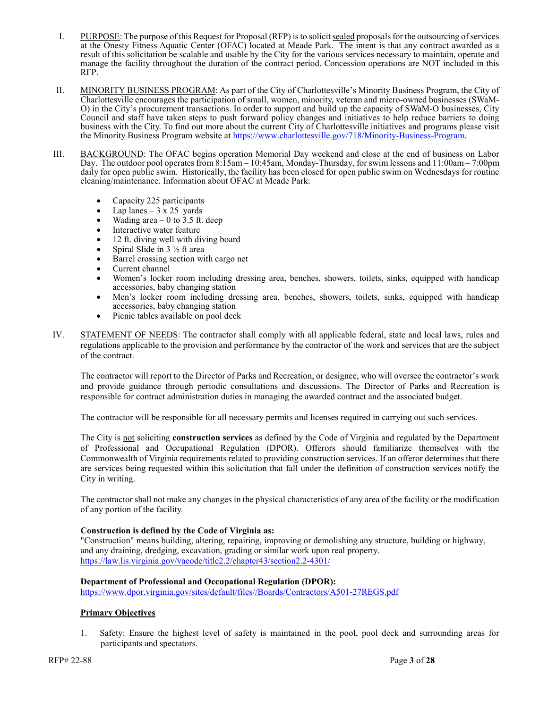- I. PURPOSE: The purpose of this Request for Proposal (RFP) is to solicit sealed proposals for the outsourcing of services at the Onesty Fitness Aquatic Center (OFAC) located at Meade Park. The intent is that any contract awarded as a result of this solicitation be scalable and usable by the City for the various services necessary to maintain, operate and manage the facility throughout the duration of the contract period. Concession operations are NOT included in this RFP.
- II. MINORITY BUSINESS PROGRAM: As part of the City of Charlottesville's Minority Business Program, the City of Charlottesville encourages the participation of small, women, minority, veteran and micro-owned businesses (SWaM-O) in the City's procurement transactions. In order to support and build up the capacity of SWaM-O businesses, City Council and staff have taken steps to push forward policy changes and initiatives to help reduce barriers to doing business with the City. To find out more about the current City of Charlottesville initiatives and programs please visit the Minority Business Program website at [https://www.charlottesville.gov/718/Minority-Business-Program.](https://www.charlottesville.gov/718/Minority-Business-Program)
- III. BACKGROUND: The OFAC begins operation Memorial Day weekend and close at the end of business on Labor Day. The outdoor pool operates from 8:15am – 10:45am, Monday-Thursday, for swim lessons and 11:00am – 7:00pm daily for open public swim. Historically, the facility has been closed for open public swim on Wednesdays for routine cleaning/maintenance. Information about OFAC at Meade Park:
	- Capacity 225 participants
	- Lap lanes  $-3 \times 25$  yards
	- Wading area  $-0$  to 3.5 ft. deep
	- Interactive water feature
	- 12 ft. diving well with diving board
	- Spiral Slide in  $3\frac{1}{2}$  ft area
	- Barrel crossing section with cargo net
	- Current channel
	- Women's locker room including dressing area, benches, showers, toilets, sinks, equipped with handicap accessories, baby changing station
	- Men's locker room including dressing area, benches, showers, toilets, sinks, equipped with handicap accessories, baby changing station
	- Picnic tables available on pool deck
- IV. STATEMENT OF NEEDS: The contractor shall comply with all applicable federal, state and local laws, rules and regulations applicable to the provision and performance by the contractor of the work and services that are the subject of the contract.

The contractor will report to the Director of Parks and Recreation, or designee, who will oversee the contractor's work and provide guidance through periodic consultations and discussions. The Director of Parks and Recreation is responsible for contract administration duties in managing the awarded contract and the associated budget.

The contractor will be responsible for all necessary permits and licenses required in carrying out such services.

The City is not soliciting **construction services** as defined by the Code of Virginia and regulated by the Department of Professional and Occupational Regulation (DPOR). Offerors should familiarize themselves with the Commonwealth of Virginia requirements related to providing construction services. If an offeror determines that there are services being requested within this solicitation that fall under the definition of construction services notify the City in writing.

The contractor shall not make any changes in the physical characteristics of any area of the facility or the modification of any portion of the facility.

#### **Construction is defined by the Code of Virginia as:**

"Construction" means building, altering, repairing, improving or demolishing any structure, building or highway, and any draining, dredging, excavation, grading or similar work upon real property. <https://law.lis.virginia.gov/vacode/title2.2/chapter43/section2.2-4301/>

#### **Department of Professional and Occupational Regulation (DPOR):**

[https://www.dpor.virginia.gov/sites/default/files//Boards/Contractors/A501-27REGS.pdf](https://www.dpor.virginia.gov/sites/default/files/Boards/Contractors/A501-27REGS.pdf)

#### **Primary Objectives**

1. Safety: Ensure the highest level of safety is maintained in the pool, pool deck and surrounding areas for participants and spectators.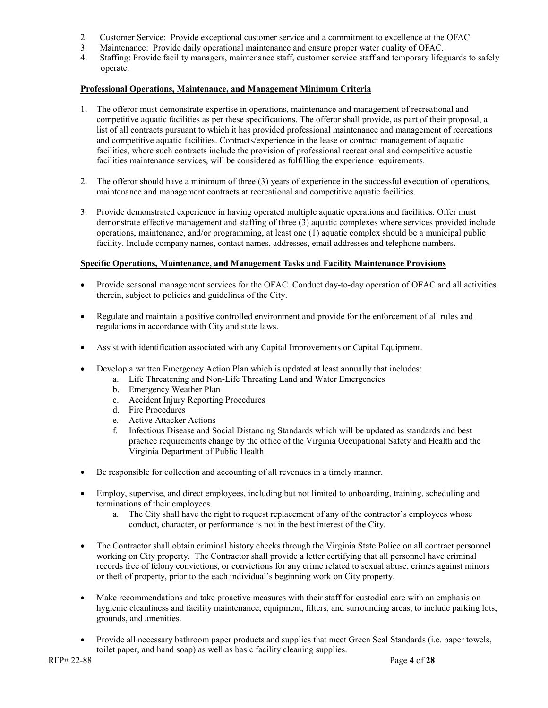- 2. Customer Service: Provide exceptional customer service and a commitment to excellence at the OFAC.
- 3. Maintenance: Provide daily operational maintenance and ensure proper water quality of OFAC.
- 4. Staffing: Provide facility managers, maintenance staff, customer service staff and temporary lifeguards to safely operate.

#### **Professional Operations, Maintenance, and Management Minimum Criteria**

- 1. The offeror must demonstrate expertise in operations, maintenance and management of recreational and competitive aquatic facilities as per these specifications. The offeror shall provide, as part of their proposal, a list of all contracts pursuant to which it has provided professional maintenance and management of recreations and competitive aquatic facilities. Contracts/experience in the lease or contract management of aquatic facilities, where such contracts include the provision of professional recreational and competitive aquatic facilities maintenance services, will be considered as fulfilling the experience requirements.
- 2. The offeror should have a minimum of three (3) years of experience in the successful execution of operations, maintenance and management contracts at recreational and competitive aquatic facilities.
- 3. Provide demonstrated experience in having operated multiple aquatic operations and facilities. Offer must demonstrate effective management and staffing of three (3) aquatic complexes where services provided include operations, maintenance, and/or programming, at least one (1) aquatic complex should be a municipal public facility. Include company names, contact names, addresses, email addresses and telephone numbers.

#### **Specific Operations, Maintenance, and Management Tasks and Facility Maintenance Provisions**

- Provide seasonal management services for the OFAC. Conduct day-to-day operation of OFAC and all activities therein, subject to policies and guidelines of the City.
- Regulate and maintain a positive controlled environment and provide for the enforcement of all rules and regulations in accordance with City and state laws.
- Assist with identification associated with any Capital Improvements or Capital Equipment.
- Develop a written Emergency Action Plan which is updated at least annually that includes:
	- a. Life Threatening and Non-Life Threating Land and Water Emergencies
		- b. Emergency Weather Plan
		- c. Accident Injury Reporting Procedures
		- d. Fire Procedures
		- e. Active Attacker Actions
		- f. Infectious Disease and Social Distancing Standards which will be updated as standards and best practice requirements change by the office of the Virginia Occupational Safety and Health and the Virginia Department of Public Health.
- Be responsible for collection and accounting of all revenues in a timely manner.
- Employ, supervise, and direct employees, including but not limited to onboarding, training, scheduling and terminations of their employees.
	- a. The City shall have the right to request replacement of any of the contractor's employees whose conduct, character, or performance is not in the best interest of the City.
- The Contractor shall obtain criminal history checks through the Virginia State Police on all contract personnel working on City property. The Contractor shall provide a letter certifying that all personnel have criminal records free of felony convictions, or convictions for any crime related to sexual abuse, crimes against minors or theft of property, prior to the each individual's beginning work on City property.
- Make recommendations and take proactive measures with their staff for custodial care with an emphasis on hygienic cleanliness and facility maintenance, equipment, filters, and surrounding areas, to include parking lots, grounds, and amenities.
- Provide all necessary bathroom paper products and supplies that meet Green Seal Standards (i.e. paper towels, toilet paper, and hand soap) as well as basic facility cleaning supplies.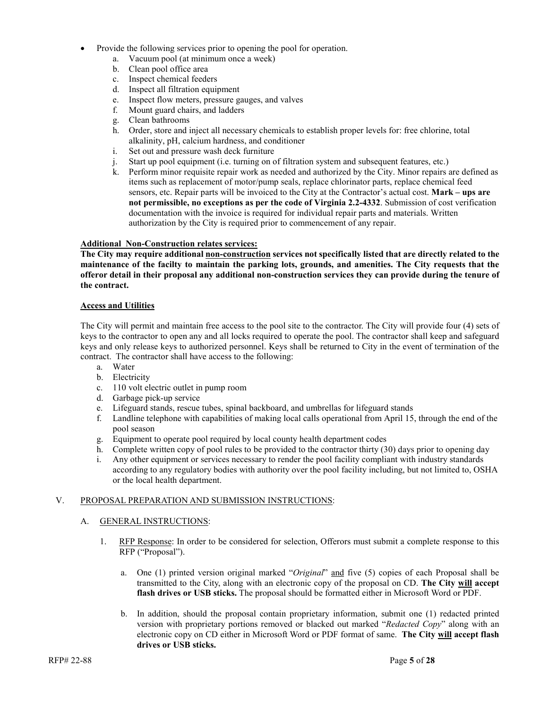- Provide the following services prior to opening the pool for operation.
	- a. Vacuum pool (at minimum once a week)
	- b. Clean pool office area
	- c. Inspect chemical feeders
	- d. Inspect all filtration equipment
	- e. Inspect flow meters, pressure gauges, and valves
	- f. Mount guard chairs, and ladders
	- g. Clean bathrooms
	- h. Order, store and inject all necessary chemicals to establish proper levels for: free chlorine, total alkalinity, pH, calcium hardness, and conditioner
	- i. Set out and pressure wash deck furniture
	- j. Start up pool equipment (i.e. turning on of filtration system and subsequent features, etc.)
	- k. Perform minor requisite repair work as needed and authorized by the City. Minor repairs are defined as items such as replacement of motor/pump seals, replace chlorinator parts, replace chemical feed sensors, etc. Repair parts will be invoiced to the City at the Contractor's actual cost. **Mark – ups are not permissible, no exceptions as per the code of Virginia 2.2-4332**. Submission of cost verification documentation with the invoice is required for individual repair parts and materials. Written authorization by the City is required prior to commencement of any repair.

#### **Additional Non-Construction relates services:**

**The City may require additional non-construction services not specifically listed that are directly related to the maintenance of the facilty to maintain the parking lots, grounds, and amenities. The City requests that the offeror detail in their proposal any additional non-construction services they can provide during the tenure of the contract.**

#### **Access and Utilities**

The City will permit and maintain free access to the pool site to the contractor. The City will provide four (4) sets of keys to the contractor to open any and all locks required to operate the pool. The contractor shall keep and safeguard keys and only release keys to authorized personnel. Keys shall be returned to City in the event of termination of the contract. The contractor shall have access to the following:

- a. Water
- b. Electricity
- c. 110 volt electric outlet in pump room
- d. Garbage pick-up service
- e. Lifeguard stands, rescue tubes, spinal backboard, and umbrellas for lifeguard stands
- f. Landline telephone with capabilities of making local calls operational from April 15, through the end of the pool season
- g. Equipment to operate pool required by local county health department codes
- h. Complete written copy of pool rules to be provided to the contractor thirty (30) days prior to opening day
- i. Any other equipment or services necessary to render the pool facility compliant with industry standards according to any regulatory bodies with authority over the pool facility including, but not limited to, OSHA or the local health department.

#### V. PROPOSAL PREPARATION AND SUBMISSION INSTRUCTIONS:

#### A. GENERAL INSTRUCTIONS:

- 1. RFP Response: In order to be considered for selection, Offerors must submit a complete response to this RFP ("Proposal").
	- a. One (1) printed version original marked "*Original*" and five (5) copies of each Proposal shall be transmitted to the City, along with an electronic copy of the proposal on CD. **The City will accept flash drives or USB sticks.** The proposal should be formatted either in Microsoft Word or PDF.
	- b. In addition, should the proposal contain proprietary information, submit one (1) redacted printed version with proprietary portions removed or blacked out marked "*Redacted Copy*" along with an electronic copy on CD either in Microsoft Word or PDF format of same. **The City will accept flash drives or USB sticks.**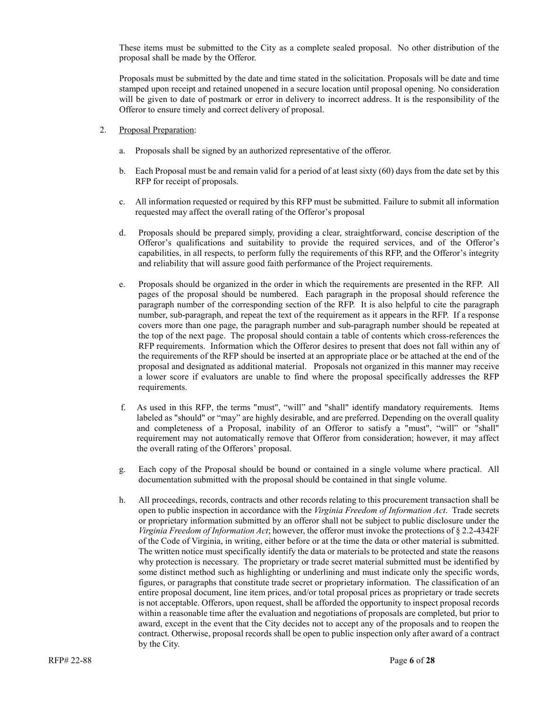These items must be submitted to the City as a complete sealed proposal. No other distribution of the proposal shall be made by the Offeror.

Proposals must be submitted by the date and time stated in the solicitation. Proposals will be date and time stamped upon receipt and retained unopened in a secure location until proposal opening. No consideration will be given to date of postmark or error in delivery to incorrect address. It is the responsibility of the Offeror to ensure timely and correct delivery of proposal.

- 2. Proposal Preparation:
	- a. Proposals shall be signed by an authorized representative of the offeror.
	- b. Each Proposal must be and remain valid for a period of at least sixty (60) days from the date set by this RFP for receipt of proposals.
	- c. All information requested or required by this RFP must be submitted. Failure to submit all information requested may affect the overall rating of the Offeror's proposal
	- d. Proposals should be prepared simply, providing a clear, straightforward, concise description of the Offeror's qualifications and suitability to provide the required services, and of the Offeror's capabilities, in all respects, to perform fully the requirements of this RFP, and the Offeror's integrity and reliability that will assure good faith performance of the Project requirements.
	- e. Proposals should be organized in the order in which the requirements are presented in the RFP. All pages of the proposal should be numbered. Each paragraph in the proposal should reference the paragraph number of the corresponding section of the RFP. It is also helpful to cite the paragraph number, sub-paragraph, and repeat the text of the requirement as it appears in the RFP. If a response covers more than one page, the paragraph number and sub-paragraph number should be repeated at the top of the next page. The proposal should contain a table of contents which cross-references the RFP requirements. Information which the Offeror desires to present that does not fall within any of the requirements of the RFP should be inserted at an appropriate place or be attached at the end of the proposal and designated as additional material. Proposals not organized in this manner may receive a lower score if evaluators are unable to find where the proposal specifically addresses the RFP requirements.
	- f. As used in this RFP, the terms "must", "will" and "shall" identify mandatory requirements. Items labeled as "should" or "may" are highly desirable, and are preferred. Depending on the overall quality and completeness of a Proposal, inability of an Offeror to satisfy a "must", "will" or "shall" requirement may not automatically remove that Offeror from consideration; however, it may affect the overall rating of the Offerors' proposal.
	- g. Each copy of the Proposal should be bound or contained in a single volume where practical. All documentation submitted with the proposal should be contained in that single volume.
	- h. All proceedings, records, contracts and other records relating to this procurement transaction shall be open to public inspection in accordance with the *Virginia Freedom of Information Act*. Trade secrets or proprietary information submitted by an offeror shall not be subject to public disclosure under the *Virginia Freedom of Information Act*; however, the offeror must invoke the protections of § 2.2-4342F of the Code of Virginia, in writing, either before or at the time the data or other material is submitted. The written notice must specifically identify the data or materials to be protected and state the reasons why protection is necessary. The proprietary or trade secret material submitted must be identified by some distinct method such as highlighting or underlining and must indicate only the specific words, figures, or paragraphs that constitute trade secret or proprietary information. The classification of an entire proposal document, line item prices, and/or total proposal prices as proprietary or trade secrets is not acceptable. Offerors, upon request, shall be afforded the opportunity to inspect proposal records within a reasonable time after the evaluation and negotiations of proposals are completed, but prior to award, except in the event that the City decides not to accept any of the proposals and to reopen the contract. Otherwise, proposal records shall be open to public inspection only after award of a contract by the City.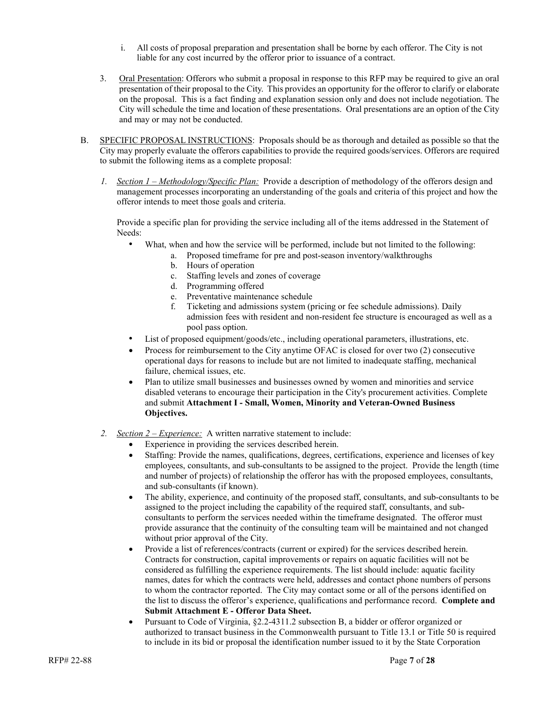- i. All costs of proposal preparation and presentation shall be borne by each offeror. The City is not liable for any cost incurred by the offeror prior to issuance of a contract.
- 3. Oral Presentation: Offerors who submit a proposal in response to this RFP may be required to give an oral presentation of their proposal to the City. This provides an opportunity for the offeror to clarify or elaborate on the proposal. This is a fact finding and explanation session only and does not include negotiation. The City will schedule the time and location of these presentations. Oral presentations are an option of the City and may or may not be conducted.
- B. SPECIFIC PROPOSAL INSTRUCTIONS: Proposals should be as thorough and detailed as possible so that the City may properly evaluate the offerors capabilities to provide the required goods/services. Offerors are required to submit the following items as a complete proposal:
	- *1. Section 1 – Methodology/Specific Plan:* Provide a description of methodology of the offerors design and management processes incorporating an understanding of the goals and criteria of this project and how the offeror intends to meet those goals and criteria.

Provide a specific plan for providing the service including all of the items addressed in the Statement of Needs:

- What, when and how the service will be performed, include but not limited to the following:
	- a. Proposed timeframe for pre and post-season inventory/walkthroughs
	- b. Hours of operation
	- c. Staffing levels and zones of coverage
	- d. Programming offered
	- e. Preventative maintenance schedule
	- f. Ticketing and admissions system (pricing or fee schedule admissions). Daily admission fees with resident and non-resident fee structure is encouraged as well as a pool pass option.
- List of proposed equipment/goods/etc., including operational parameters, illustrations, etc.
- Process for reimbursement to the City anytime OFAC is closed for over two (2) consecutive operational days for reasons to include but are not limited to inadequate staffing, mechanical failure, chemical issues, etc.
- Plan to utilize small businesses and businesses owned by women and minorities and service disabled veterans to encourage their participation in the City's procurement activities. Complete and submit **Attachment I - Small, Women, Minority and Veteran-Owned Business Objectives.**
- *2. Section 2 – Experience:* A written narrative statement to include:
	- Experience in providing the services described herein.
	- Staffing: Provide the names, qualifications, degrees, certifications, experience and licenses of key employees, consultants, and sub-consultants to be assigned to the project. Provide the length (time and number of projects) of relationship the offeror has with the proposed employees, consultants, and sub-consultants (if known).
	- The ability, experience, and continuity of the proposed staff, consultants, and sub-consultants to be assigned to the project including the capability of the required staff, consultants, and subconsultants to perform the services needed within the timeframe designated. The offeror must provide assurance that the continuity of the consulting team will be maintained and not changed without prior approval of the City.
	- Provide a list of references/contracts (current or expired) for the services described herein. Contracts for construction, capital improvements or repairs on aquatic facilities will not be considered as fulfilling the experience requirements. The list should include: aquatic facility names, dates for which the contracts were held, addresses and contact phone numbers of persons to whom the contractor reported. The City may contact some or all of the persons identified on the list to discuss the offeror's experience, qualifications and performance record. **Complete and Submit Attachment E - Offeror Data Sheet.**
	- Pursuant to Code of Virginia, §2.2-4311.2 subsection B, a bidder or offeror organized or authorized to transact business in the Commonwealth pursuant to Title 13.1 or Title 50 is required to include in its bid or proposal the identification number issued to it by the State Corporation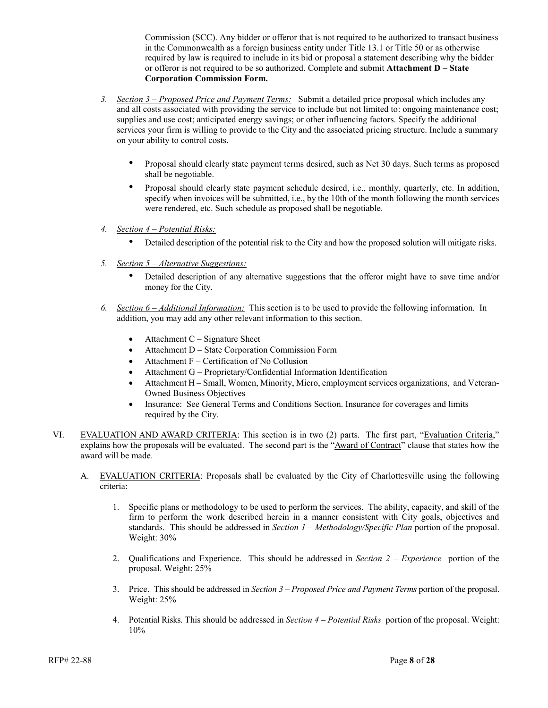Commission (SCC). Any bidder or offeror that is not required to be authorized to transact business in the Commonwealth as a foreign business entity under Title 13.1 or Title 50 or as otherwise required by law is required to include in its bid or proposal a statement describing why the bidder or offeror is not required to be so authorized. Complete and submit **Attachment D – State Corporation Commission Form.**

- *3. Section 3 – Proposed Price and Payment Terms:* Submit a detailed price proposal which includes any and all costs associated with providing the service to include but not limited to: ongoing maintenance cost; supplies and use cost; anticipated energy savings; or other influencing factors. Specify the additional services your firm is willing to provide to the City and the associated pricing structure. Include a summary on your ability to control costs.
	- Proposal should clearly state payment terms desired, such as Net 30 days. Such terms as proposed shall be negotiable.
	- Proposal should clearly state payment schedule desired, i.e., monthly, quarterly, etc. In addition, specify when invoices will be submitted, i.e., by the 10th of the month following the month services were rendered, etc. Such schedule as proposed shall be negotiable.
- *4. Section 4 – Potential Risks:*
	- Detailed description of the potential risk to the City and how the proposed solution will mitigate risks.
- *5. Section 5 – Alternative Suggestions:*
	- Detailed description of any alternative suggestions that the offeror might have to save time and/or money for the City.
- *6. Section 6 – Additional Information:* This section is to be used to provide the following information. In addition, you may add any other relevant information to this section.
	- Attachment  $C -$  Signature Sheet
	- Attachment D State Corporation Commission Form
	- Attachment F Certification of No Collusion
	- Attachment G Proprietary/Confidential Information Identification
	- Attachment H Small, Women, Minority, Micro, employment services organizations, and Veteran-Owned Business Objectives
	- Insurance: See General Terms and Conditions Section. Insurance for coverages and limits required by the City.
- VI. EVALUATION AND AWARD CRITERIA: This section is in two (2) parts. The first part, "Evaluation Criteria," explains how the proposals will be evaluated. The second part is the "Award of Contract" clause that states how the award will be made.
	- A. EVALUATION CRITERIA: Proposals shall be evaluated by the City of Charlottesville using the following criteria:
		- 1. Specific plans or methodology to be used to perform the services. The ability, capacity, and skill of the firm to perform the work described herein in a manner consistent with City goals, objectives and standards. This should be addressed in *Section 1 – Methodology/Specific Plan* portion of the proposal. Weight: 30%
		- 2. Qualifications and Experience. This should be addressed in *Section 2 – Experience* portion of the proposal. Weight: 25%
		- 3. Price. This should be addressed in *Section 3 – Proposed Price and Payment Terms* portion of the proposal. Weight: 25%
		- 4. Potential Risks. This should be addressed in *Section 4 – Potential Risks* portion of the proposal. Weight: 10%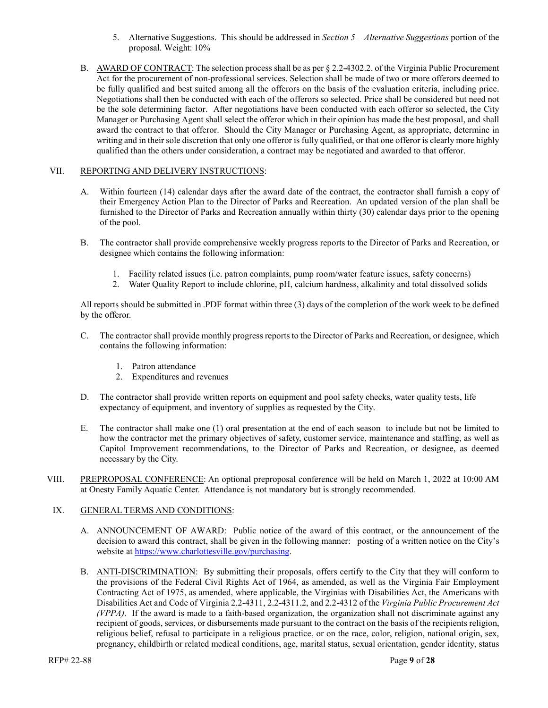- 5. Alternative Suggestions. This should be addressed in *Section 5 – Alternative Suggestions* portion of the proposal. Weight: 10%
- B. AWARD OF CONTRACT: The selection process shall be as per § 2.2-4302.2. of the Virginia Public Procurement Act for the procurement of non-professional services. Selection shall be made of two or more offerors deemed to be fully qualified and best suited among all the offerors on the basis of the evaluation criteria, including price. Negotiations shall then be conducted with each of the offerors so selected. Price shall be considered but need not be the sole determining factor. After negotiations have been conducted with each offeror so selected, the City Manager or Purchasing Agent shall select the offeror which in their opinion has made the best proposal, and shall award the contract to that offeror. Should the City Manager or Purchasing Agent, as appropriate, determine in writing and in their sole discretion that only one offeror is fully qualified, or that one offeror is clearly more highly qualified than the others under consideration, a contract may be negotiated and awarded to that offeror.

#### VII. REPORTING AND DELIVERY INSTRUCTIONS:

- A. Within fourteen (14) calendar days after the award date of the contract, the contractor shall furnish a copy of their Emergency Action Plan to the Director of Parks and Recreation. An updated version of the plan shall be furnished to the Director of Parks and Recreation annually within thirty (30) calendar days prior to the opening of the pool.
- B. The contractor shall provide comprehensive weekly progress reports to the Director of Parks and Recreation, or designee which contains the following information:
	- 1. Facility related issues (i.e. patron complaints, pump room/water feature issues, safety concerns)
	- 2. Water Quality Report to include chlorine, pH, calcium hardness, alkalinity and total dissolved solids

All reports should be submitted in .PDF format within three (3) days of the completion of the work week to be defined by the offeror.

- C. The contractor shall provide monthly progress reports to the Director of Parks and Recreation, or designee, which contains the following information:
	- 1. Patron attendance
	- 2. Expenditures and revenues
- D. The contractor shall provide written reports on equipment and pool safety checks, water quality tests, life expectancy of equipment, and inventory of supplies as requested by the City.
- E. The contractor shall make one (1) oral presentation at the end of each season to include but not be limited to how the contractor met the primary objectives of safety, customer service, maintenance and staffing, as well as Capitol Improvement recommendations, to the Director of Parks and Recreation, or designee, as deemed necessary by the City.
- VIII. PREPROPOSAL CONFERENCE: An optional preproposal conference will be held on March 1, 2022 at 10:00 AM at Onesty Family Aquatic Center. Attendance is not mandatory but is strongly recommended.

#### IX. GENERAL TERMS AND CONDITIONS:

- A. ANNOUNCEMENT OF AWARD: Public notice of the award of this contract, or the announcement of the decision to award this contract, shall be given in the following manner: posting of a written notice on the City's website at [https://www.charlottesville.gov/purchasing.](https://www.charlottesville.gov/purchasing)
- B. ANTI-DISCRIMINATION: By submitting their proposals, offers certify to the City that they will conform to the provisions of the Federal Civil Rights Act of 1964, as amended, as well as the Virginia Fair Employment Contracting Act of 1975, as amended, where applicable, the Virginias with Disabilities Act, the Americans with Disabilities Act and Code of Virginia 2.2-4311, 2.2-4311.2, and 2.2-4312 of the *Virginia Public Procurement Act (VPPA)*. If the award is made to a faith-based organization, the organization shall not discriminate against any recipient of goods, services, or disbursements made pursuant to the contract on the basis of the recipients religion, religious belief, refusal to participate in a religious practice, or on the race, color, religion, national origin, sex, pregnancy, childbirth or related medical conditions, age, marital status, sexual orientation, gender identity, status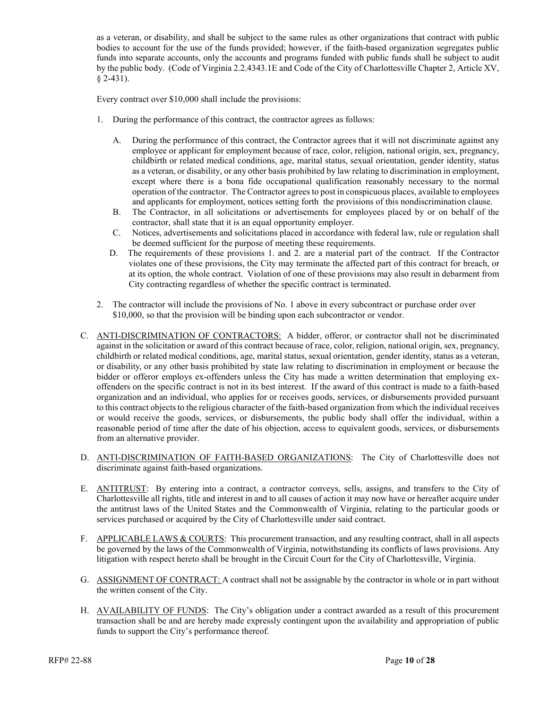as a veteran, or disability, and shall be subject to the same rules as other organizations that contract with public bodies to account for the use of the funds provided; however, if the faith-based organization segregates public funds into separate accounts, only the accounts and programs funded with public funds shall be subject to audit by the public body. (Code of Virginia 2.2.4343.1E and Code of the City of Charlottesville Chapter 2, Article XV, § 2-431).

Every contract over \$10,000 shall include the provisions:

- 1. During the performance of this contract, the contractor agrees as follows:
	- A. During the performance of this contract, the Contractor agrees that it will not discriminate against any employee or applicant for employment because of race, color, religion, national origin, sex, pregnancy, childbirth or related medical conditions, age, marital status, sexual orientation, gender identity, status as a veteran, or disability, or any other basis prohibited by law relating to discrimination in employment, except where there is a bona fide occupational qualification reasonably necessary to the normal operation of the contractor. The Contractor agrees to post in conspicuous places, available to employees and applicants for employment, notices setting forth the provisions of this nondiscrimination clause.
	- B. The Contractor, in all solicitations or advertisements for employees placed by or on behalf of the contractor, shall state that it is an equal opportunity employer.
	- C. Notices, advertisements and solicitations placed in accordance with federal law, rule or regulation shall be deemed sufficient for the purpose of meeting these requirements.
	- D. The requirements of these provisions 1. and 2. are a material part of the contract. If the Contractor violates one of these provisions, the City may terminate the affected part of this contract for breach, or at its option, the whole contract. Violation of one of these provisions may also result in debarment from City contracting regardless of whether the specific contract is terminated.
- 2. The contractor will include the provisions of No. 1 above in every subcontract or purchase order over \$10,000, so that the provision will be binding upon each subcontractor or vendor.
- C. ANTI-DISCRIMINATION OF CONTRACTORS: A bidder, offeror, or contractor shall not be discriminated against in the solicitation or award of this contract because of race, color, religion, national origin, sex, pregnancy, childbirth or related medical conditions, age, marital status, sexual orientation, gender identity, status as a veteran, or disability, or any other basis prohibited by state law relating to discrimination in employment or because the bidder or offeror employs ex-offenders unless the City has made a written determination that employing exoffenders on the specific contract is not in its best interest. If the award of this contract is made to a faith-based organization and an individual, who applies for or receives goods, services, or disbursements provided pursuant to this contract objects to the religious character of the faith-based organization from which the individual receives or would receive the goods, services, or disbursements, the public body shall offer the individual, within a reasonable period of time after the date of his objection, access to equivalent goods, services, or disbursements from an alternative provider.
- D. ANTI-DISCRIMINATION OF FAITH-BASED ORGANIZATIONS: The City of Charlottesville does not discriminate against faith-based organizations.
- E. ANTITRUST: By entering into a contract, a contractor conveys, sells, assigns, and transfers to the City of Charlottesville all rights, title and interest in and to all causes of action it may now have or hereafter acquire under the antitrust laws of the United States and the Commonwealth of Virginia, relating to the particular goods or services purchased or acquired by the City of Charlottesville under said contract.
- F. APPLICABLE LAWS & COURTS: This procurement transaction, and any resulting contract, shall in all aspects be governed by the laws of the Commonwealth of Virginia, notwithstanding its conflicts of laws provisions. Any litigation with respect hereto shall be brought in the Circuit Court for the City of Charlottesville, Virginia.
- G. ASSIGNMENT OF CONTRACT: A contract shall not be assignable by the contractor in whole or in part without the written consent of the City.
- H. AVAILABILITY OF FUNDS: The City's obligation under a contract awarded as a result of this procurement transaction shall be and are hereby made expressly contingent upon the availability and appropriation of public funds to support the City's performance thereof.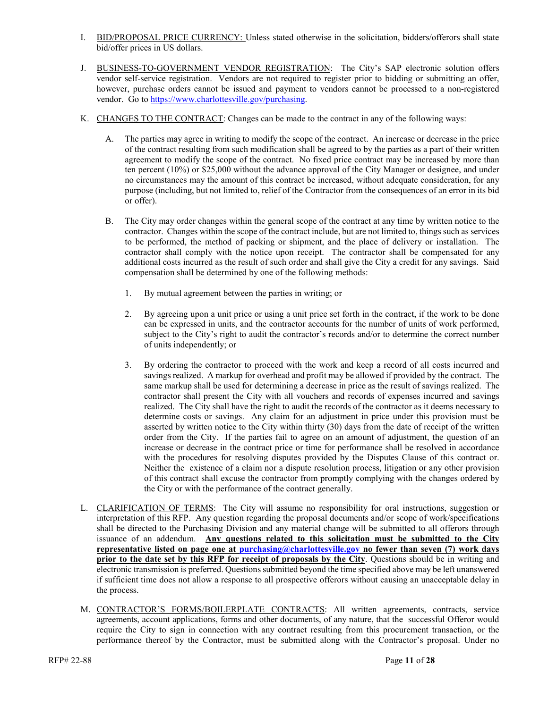- I. BID/PROPOSAL PRICE CURRENCY: Unless stated otherwise in the solicitation, bidders/offerors shall state bid/offer prices in US dollars.
- J. BUSINESS-TO-GOVERNMENT VENDOR REGISTRATION: The City's SAP electronic solution offers vendor self-service registration. Vendors are not required to register prior to bidding or submitting an offer, however, purchase orders cannot be issued and payment to vendors cannot be processed to a non-registered vendor. Go to [https://www.charlottesville.gov/purchasing.](https://www.charlottesville.gov/purchasing)
- K. CHANGES TO THE CONTRACT: Changes can be made to the contract in any of the following ways:
	- A. The parties may agree in writing to modify the scope of the contract. An increase or decrease in the price of the contract resulting from such modification shall be agreed to by the parties as a part of their written agreement to modify the scope of the contract. No fixed price contract may be increased by more than ten percent (10%) or \$25,000 without the advance approval of the City Manager or designee, and under no circumstances may the amount of this contract be increased, without adequate consideration, for any purpose (including, but not limited to, relief of the Contractor from the consequences of an error in its bid or offer).
	- B. The City may order changes within the general scope of the contract at any time by written notice to the contractor. Changes within the scope of the contract include, but are not limited to, things such as services to be performed, the method of packing or shipment, and the place of delivery or installation. The contractor shall comply with the notice upon receipt. The contractor shall be compensated for any additional costs incurred as the result of such order and shall give the City a credit for any savings. Said compensation shall be determined by one of the following methods:
		- 1. By mutual agreement between the parties in writing; or
		- 2. By agreeing upon a unit price or using a unit price set forth in the contract, if the work to be done can be expressed in units, and the contractor accounts for the number of units of work performed, subject to the City's right to audit the contractor's records and/or to determine the correct number of units independently; or
		- 3. By ordering the contractor to proceed with the work and keep a record of all costs incurred and savings realized. A markup for overhead and profit may be allowed if provided by the contract. The same markup shall be used for determining a decrease in price as the result of savings realized. The contractor shall present the City with all vouchers and records of expenses incurred and savings realized. The City shall have the right to audit the records of the contractor as it deems necessary to determine costs or savings. Any claim for an adjustment in price under this provision must be asserted by written notice to the City within thirty (30) days from the date of receipt of the written order from the City. If the parties fail to agree on an amount of adjustment, the question of an increase or decrease in the contract price or time for performance shall be resolved in accordance with the procedures for resolving disputes provided by the Disputes Clause of this contract or. Neither the existence of a claim nor a dispute resolution process, litigation or any other provision of this contract shall excuse the contractor from promptly complying with the changes ordered by the City or with the performance of the contract generally.
- L. CLARIFICATION OF TERMS: The City will assume no responsibility for oral instructions, suggestion or interpretation of this RFP. Any question regarding the proposal documents and/or scope of work/specifications shall be directed to the Purchasing Division and any material change will be submitted to all offerors through issuance of an addendum. **Any questions related to this solicitation must be submitted to the City representative listed on page one at [purchasing@charlottesville.gov](mailto:purchasing@charlottesville.gov) no fewer than seven (7) work days prior to the date set by this RFP for receipt of proposals by the City**. Questions should be in writing and electronic transmission is preferred. Questions submitted beyond the time specified above may be left unanswered if sufficient time does not allow a response to all prospective offerors without causing an unacceptable delay in the process.
- M. CONTRACTOR'S FORMS/BOILERPLATE CONTRACTS: All written agreements, contracts, service agreements, account applications, forms and other documents, of any nature, that the successful Offeror would require the City to sign in connection with any contract resulting from this procurement transaction, or the performance thereof by the Contractor, must be submitted along with the Contractor's proposal. Under no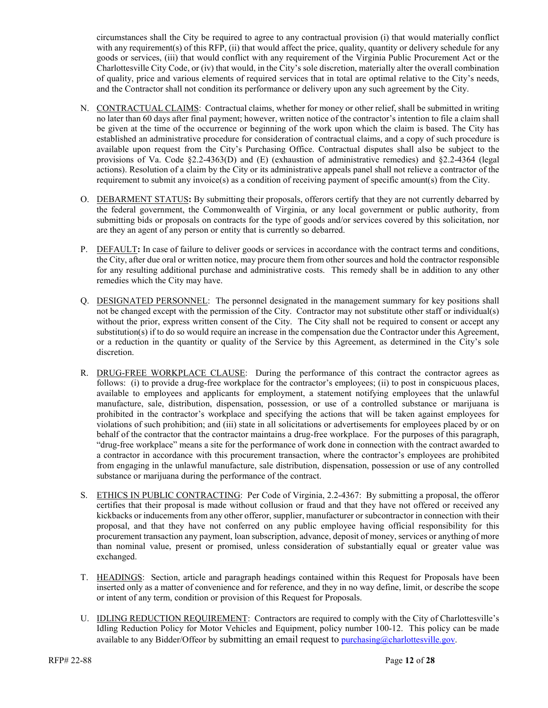circumstances shall the City be required to agree to any contractual provision (i) that would materially conflict with any requirement(s) of this RFP, (ii) that would affect the price, quality, quantity or delivery schedule for any goods or services, (iii) that would conflict with any requirement of the Virginia Public Procurement Act or the Charlottesville City Code, or (iv) that would, in the City's sole discretion, materially alter the overall combination of quality, price and various elements of required services that in total are optimal relative to the City's needs, and the Contractor shall not condition its performance or delivery upon any such agreement by the City.

- N. CONTRACTUAL CLAIMS: Contractual claims, whether for money or other relief, shall be submitted in writing no later than 60 days after final payment; however, written notice of the contractor's intention to file a claim shall be given at the time of the occurrence or beginning of the work upon which the claim is based. The City has established an administrative procedure for consideration of contractual claims, and a copy of such procedure is available upon request from the City's Purchasing Office. Contractual disputes shall also be subject to the provisions of Va. Code §2.2-4363(D) and (E) (exhaustion of administrative remedies) and §2.2-4364 (legal actions). Resolution of a claim by the City or its administrative appeals panel shall not relieve a contractor of the requirement to submit any invoice(s) as a condition of receiving payment of specific amount(s) from the City.
- O. DEBARMENT STATUS**:** By submitting their proposals, offerors certify that they are not currently debarred by the federal government, the Commonwealth of Virginia, or any local government or public authority, from submitting bids or proposals on contracts for the type of goods and/or services covered by this solicitation, nor are they an agent of any person or entity that is currently so debarred.
- P. DEFAULT**:** In case of failure to deliver goods or services in accordance with the contract terms and conditions, the City, after due oral or written notice, may procure them from other sources and hold the contractor responsible for any resulting additional purchase and administrative costs. This remedy shall be in addition to any other remedies which the City may have.
- Q. DESIGNATED PERSONNEL: The personnel designated in the management summary for key positions shall not be changed except with the permission of the City. Contractor may not substitute other staff or individual(s) without the prior, express written consent of the City. The City shall not be required to consent or accept any substitution(s) if to do so would require an increase in the compensation due the Contractor under this Agreement, or a reduction in the quantity or quality of the Service by this Agreement, as determined in the City's sole discretion.
- R. DRUG-FREE WORKPLACE CLAUSE: During the performance of this contract the contractor agrees as follows: (i) to provide a drug-free workplace for the contractor's employees; (ii) to post in conspicuous places, available to employees and applicants for employment, a statement notifying employees that the unlawful manufacture, sale, distribution, dispensation, possession, or use of a controlled substance or marijuana is prohibited in the contractor's workplace and specifying the actions that will be taken against employees for violations of such prohibition; and (iii) state in all solicitations or advertisements for employees placed by or on behalf of the contractor that the contractor maintains a drug-free workplace. For the purposes of this paragraph, "drug-free workplace" means a site for the performance of work done in connection with the contract awarded to a contractor in accordance with this procurement transaction, where the contractor's employees are prohibited from engaging in the unlawful manufacture, sale distribution, dispensation, possession or use of any controlled substance or marijuana during the performance of the contract.
- S. ETHICS IN PUBLIC CONTRACTING: Per Code of Virginia, 2.2-4367: By submitting a proposal, the offeror certifies that their proposal is made without collusion or fraud and that they have not offered or received any kickbacks or inducements from any other offeror, supplier, manufacturer or subcontractor in connection with their proposal, and that they have not conferred on any public employee having official responsibility for this procurement transaction any payment, loan subscription, advance, deposit of money, services or anything of more than nominal value, present or promised, unless consideration of substantially equal or greater value was exchanged.
- T. HEADINGS: Section, article and paragraph headings contained within this Request for Proposals have been inserted only as a matter of convenience and for reference, and they in no way define, limit, or describe the scope or intent of any term, condition or provision of this Request for Proposals.
- U. IDLING REDUCTION REQUIREMENT: Contractors are required to comply with the City of Charlottesville's Idling Reduction Policy for Motor Vehicles and Equipment, policy number 100-12. This policy can be made available to any Bidder/Offeor by submitting an email request to purchasing  $@chardottesville.gov$ .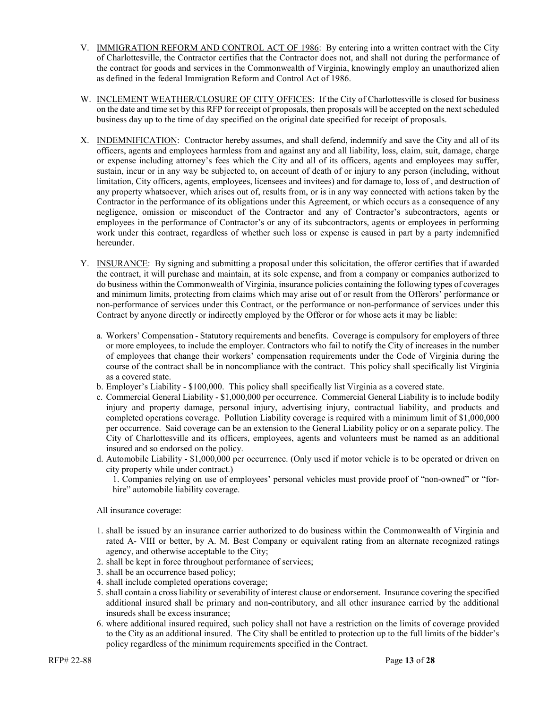- V. IMMIGRATION REFORM AND CONTROL ACT OF 1986: By entering into a written contract with the City of Charlottesville, the Contractor certifies that the Contractor does not, and shall not during the performance of the contract for goods and services in the Commonwealth of Virginia, knowingly employ an unauthorized alien as defined in the federal Immigration Reform and Control Act of 1986.
- W. INCLEMENT WEATHER/CLOSURE OF CITY OFFICES: If the City of Charlottesville is closed for business on the date and time set by this RFP for receipt of proposals, then proposals will be accepted on the next scheduled business day up to the time of day specified on the original date specified for receipt of proposals.
- X. INDEMNIFICATION: Contractor hereby assumes, and shall defend, indemnify and save the City and all of its officers, agents and employees harmless from and against any and all liability, loss, claim, suit, damage, charge or expense including attorney's fees which the City and all of its officers, agents and employees may suffer, sustain, incur or in any way be subjected to, on account of death of or injury to any person (including, without limitation, City officers, agents, employees, licensees and invitees) and for damage to, loss of , and destruction of any property whatsoever, which arises out of, results from, or is in any way connected with actions taken by the Contractor in the performance of its obligations under this Agreement, or which occurs as a consequence of any negligence, omission or misconduct of the Contractor and any of Contractor's subcontractors, agents or employees in the performance of Contractor's or any of its subcontractors, agents or employees in performing work under this contract, regardless of whether such loss or expense is caused in part by a party indemnified hereunder.
- Y. INSURANCE: By signing and submitting a proposal under this solicitation, the offeror certifies that if awarded the contract, it will purchase and maintain, at its sole expense, and from a company or companies authorized to do business within the Commonwealth of Virginia, insurance policies containing the following types of coverages and minimum limits, protecting from claims which may arise out of or result from the Offerors' performance or non-performance of services under this Contract, or the performance or non-performance of services under this Contract by anyone directly or indirectly employed by the Offeror or for whose acts it may be liable:
	- a. Workers' Compensation Statutory requirements and benefits. Coverage is compulsory for employers of three or more employees, to include the employer. Contractors who fail to notify the City of increases in the number of employees that change their workers' compensation requirements under the Code of Virginia during the course of the contract shall be in noncompliance with the contract. This policy shall specifically list Virginia as a covered state.
	- b. Employer's Liability \$100,000. This policy shall specifically list Virginia as a covered state.
	- c. Commercial General Liability \$1,000,000 per occurrence. Commercial General Liability is to include bodily injury and property damage, personal injury, advertising injury, contractual liability, and products and completed operations coverage. Pollution Liability coverage is required with a minimum limit of \$1,000,000 per occurrence. Said coverage can be an extension to the General Liability policy or on a separate policy. The City of Charlottesville and its officers, employees, agents and volunteers must be named as an additional insured and so endorsed on the policy.
	- d. Automobile Liability \$1,000,000 per occurrence. (Only used if motor vehicle is to be operated or driven on city property while under contract.)
		- 1. Companies relying on use of employees' personal vehicles must provide proof of "non-owned" or "forhire" automobile liability coverage.

All insurance coverage:

- 1. shall be issued by an insurance carrier authorized to do business within the Commonwealth of Virginia and rated A- VIII or better, by A. M. Best Company or equivalent rating from an alternate recognized ratings agency, and otherwise acceptable to the City;
- 2. shall be kept in force throughout performance of services;
- 3. shall be an occurrence based policy;
- 4. shall include completed operations coverage;
- 5. shall contain a cross liability or severability of interest clause or endorsement. Insurance covering the specified additional insured shall be primary and non-contributory, and all other insurance carried by the additional insureds shall be excess insurance;
- 6. where additional insured required, such policy shall not have a restriction on the limits of coverage provided to the City as an additional insured. The City shall be entitled to protection up to the full limits of the bidder's policy regardless of the minimum requirements specified in the Contract.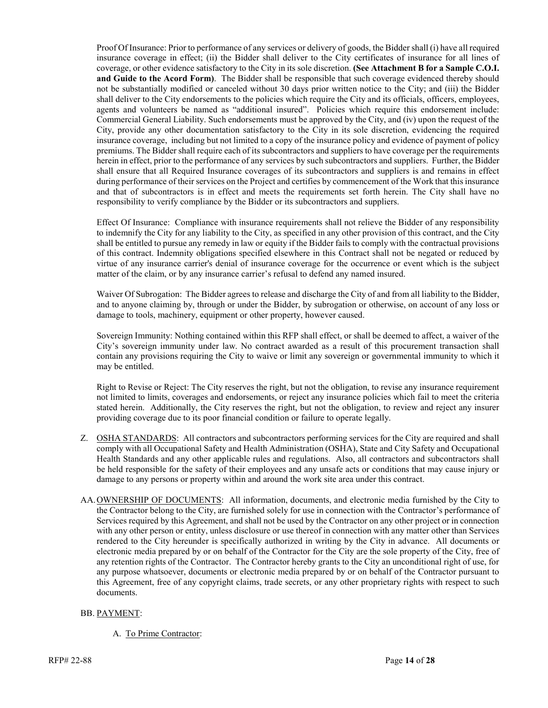Proof Of Insurance: Prior to performance of any services or delivery of goods, the Bidder shall (i) have all required insurance coverage in effect; (ii) the Bidder shall deliver to the City certificates of insurance for all lines of coverage, or other evidence satisfactory to the City in its sole discretion. **(See Attachment B for a Sample C.O.I. and Guide to the Acord Form)**. The Bidder shall be responsible that such coverage evidenced thereby should not be substantially modified or canceled without 30 days prior written notice to the City; and (iii) the Bidder shall deliver to the City endorsements to the policies which require the City and its officials, officers, employees, agents and volunteers be named as "additional insured". Policies which require this endorsement include: Commercial General Liability. Such endorsements must be approved by the City, and (iv) upon the request of the City, provide any other documentation satisfactory to the City in its sole discretion, evidencing the required insurance coverage, including but not limited to a copy of the insurance policy and evidence of payment of policy premiums. The Bidder shall require each of its subcontractors and suppliers to have coverage per the requirements herein in effect, prior to the performance of any services by such subcontractors and suppliers. Further, the Bidder shall ensure that all Required Insurance coverages of its subcontractors and suppliers is and remains in effect during performance of their services on the Project and certifies by commencement of the Work that this insurance and that of subcontractors is in effect and meets the requirements set forth herein. The City shall have no responsibility to verify compliance by the Bidder or its subcontractors and suppliers.

Effect Of Insurance: Compliance with insurance requirements shall not relieve the Bidder of any responsibility to indemnify the City for any liability to the City, as specified in any other provision of this contract, and the City shall be entitled to pursue any remedy in law or equity if the Bidder fails to comply with the contractual provisions of this contract. Indemnity obligations specified elsewhere in this Contract shall not be negated or reduced by virtue of any insurance carrier's denial of insurance coverage for the occurrence or event which is the subject matter of the claim, or by any insurance carrier's refusal to defend any named insured.

Waiver Of Subrogation: The Bidder agrees to release and discharge the City of and from all liability to the Bidder, and to anyone claiming by, through or under the Bidder, by subrogation or otherwise, on account of any loss or damage to tools, machinery, equipment or other property, however caused.

Sovereign Immunity: Nothing contained within this RFP shall effect, or shall be deemed to affect, a waiver of the City's sovereign immunity under law. No contract awarded as a result of this procurement transaction shall contain any provisions requiring the City to waive or limit any sovereign or governmental immunity to which it may be entitled.

Right to Revise or Reject: The City reserves the right, but not the obligation, to revise any insurance requirement not limited to limits, coverages and endorsements, or reject any insurance policies which fail to meet the criteria stated herein. Additionally, the City reserves the right, but not the obligation, to review and reject any insurer providing coverage due to its poor financial condition or failure to operate legally.

- Z. OSHA STANDARDS: All contractors and subcontractors performing services for the City are required and shall comply with all Occupational Safety and Health Administration (OSHA), State and City Safety and Occupational Health Standards and any other applicable rules and regulations. Also, all contractors and subcontractors shall be held responsible for the safety of their employees and any unsafe acts or conditions that may cause injury or damage to any persons or property within and around the work site area under this contract.
- AA.OWNERSHIP OF DOCUMENTS: All information, documents, and electronic media furnished by the City to the Contractor belong to the City, are furnished solely for use in connection with the Contractor's performance of Services required by this Agreement, and shall not be used by the Contractor on any other project or in connection with any other person or entity, unless disclosure or use thereof in connection with any matter other than Services rendered to the City hereunder is specifically authorized in writing by the City in advance. All documents or electronic media prepared by or on behalf of the Contractor for the City are the sole property of the City, free of any retention rights of the Contractor. The Contractor hereby grants to the City an unconditional right of use, for any purpose whatsoever, documents or electronic media prepared by or on behalf of the Contractor pursuant to this Agreement, free of any copyright claims, trade secrets, or any other proprietary rights with respect to such documents.

#### BB. PAYMENT:

A. To Prime Contractor: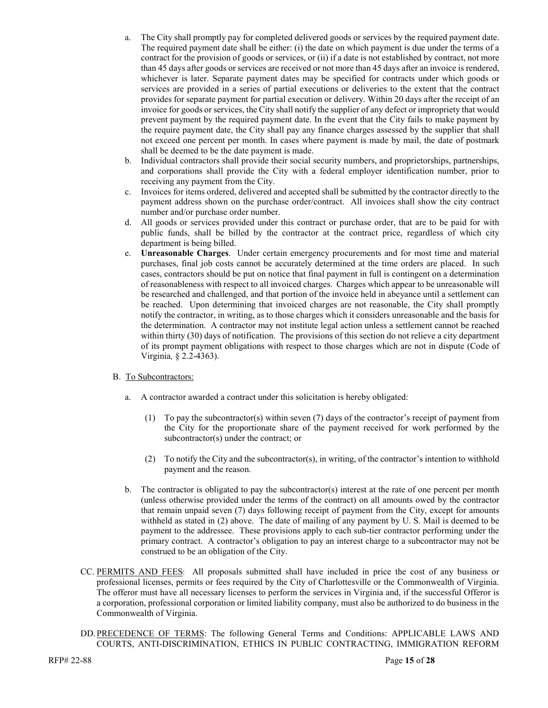- a. The City shall promptly pay for completed delivered goods or services by the required payment date. The required payment date shall be either: (i) the date on which payment is due under the terms of a contract for the provision of goods or services, or (ii) if a date is not established by contract, not more than 45 days after goods or services are received or not more than 45 days after an invoice is rendered, whichever is later. Separate payment dates may be specified for contracts under which goods or services are provided in a series of partial executions or deliveries to the extent that the contract provides for separate payment for partial execution or delivery. Within 20 days after the receipt of an invoice for goods or services, the City shall notify the supplier of any defect or impropriety that would prevent payment by the required payment date. In the event that the City fails to make payment by the require payment date, the City shall pay any finance charges assessed by the supplier that shall not exceed one percent per month. In cases where payment is made by mail, the date of postmark shall be deemed to be the date payment is made.
- b. Individual contractors shall provide their social security numbers, and proprietorships, partnerships, and corporations shall provide the City with a federal employer identification number, prior to receiving any payment from the City.
- c. Invoices for items ordered, delivered and accepted shall be submitted by the contractor directly to the payment address shown on the purchase order/contract. All invoices shall show the city contract number and/or purchase order number.
- d. All goods or services provided under this contract or purchase order, that are to be paid for with public funds, shall be billed by the contractor at the contract price, regardless of which city department is being billed.
- e. **Unreasonable Charges**. Under certain emergency procurements and for most time and material purchases, final job costs cannot be accurately determined at the time orders are placed. In such cases, contractors should be put on notice that final payment in full is contingent on a determination of reasonableness with respect to all invoiced charges. Charges which appear to be unreasonable will be researched and challenged, and that portion of the invoice held in abeyance until a settlement can be reached. Upon determining that invoiced charges are not reasonable, the City shall promptly notify the contractor, in writing, as to those charges which it considers unreasonable and the basis for the determination. A contractor may not institute legal action unless a settlement cannot be reached within thirty (30) days of notification. The provisions of this section do not relieve a city department of its prompt payment obligations with respect to those charges which are not in dispute (Code of Virginia*,* § 2.2-4363).

#### B. To Subcontractors:

- a. A contractor awarded a contract under this solicitation is hereby obligated:
	- (1) To pay the subcontractor(s) within seven (7) days of the contractor's receipt of payment from the City for the proportionate share of the payment received for work performed by the subcontractor(s) under the contract; or
	- (2) To notify the City and the subcontractor(s), in writing, of the contractor's intention to withhold payment and the reason.
- b. The contractor is obligated to pay the subcontractor(s) interest at the rate of one percent per month (unless otherwise provided under the terms of the contract) on all amounts owed by the contractor that remain unpaid seven (7) days following receipt of payment from the City, except for amounts withheld as stated in (2) above. The date of mailing of any payment by U. S. Mail is deemed to be payment to the addressee. These provisions apply to each sub-tier contractor performing under the primary contract. A contractor's obligation to pay an interest charge to a subcontractor may not be construed to be an obligation of the City.
- CC. PERMITS AND FEES: All proposals submitted shall have included in price the cost of any business or professional licenses, permits or fees required by the City of Charlottesville or the Commonwealth of Virginia. The offeror must have all necessary licenses to perform the services in Virginia and, if the successful Offeror is a corporation, professional corporation or limited liability company, must also be authorized to do business in the Commonwealth of Virginia.
- DD.PRECEDENCE OF TERMS: The following General Terms and Conditions: APPLICABLE LAWS AND COURTS, ANTI-DISCRIMINATION, ETHICS IN PUBLIC CONTRACTING, IMMIGRATION REFORM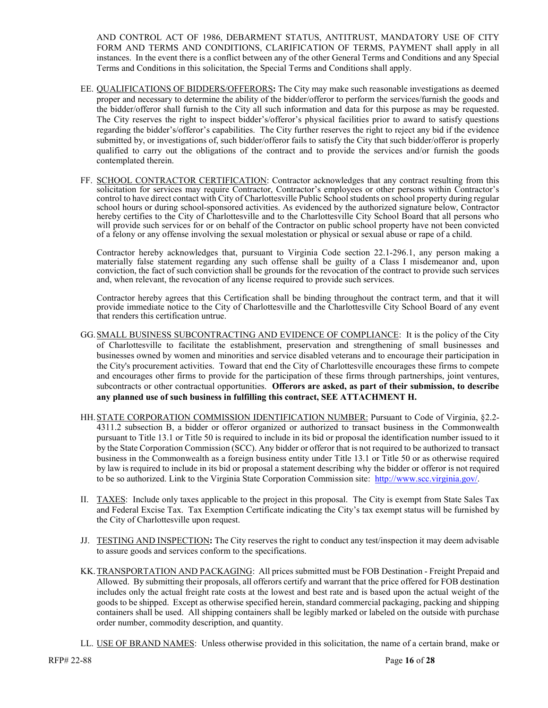AND CONTROL ACT OF 1986, DEBARMENT STATUS, ANTITRUST, MANDATORY USE OF CITY FORM AND TERMS AND CONDITIONS, CLARIFICATION OF TERMS, PAYMENT shall apply in all instances. In the event there is a conflict between any of the other General Terms and Conditions and any Special Terms and Conditions in this solicitation, the Special Terms and Conditions shall apply.

- EE. QUALIFICATIONS OF BIDDERS/OFFERORS**:** The City may make such reasonable investigations as deemed proper and necessary to determine the ability of the bidder/offeror to perform the services/furnish the goods and the bidder/offeror shall furnish to the City all such information and data for this purpose as may be requested. The City reserves the right to inspect bidder's/offeror's physical facilities prior to award to satisfy questions regarding the bidder's/offeror's capabilities. The City further reserves the right to reject any bid if the evidence submitted by, or investigations of, such bidder/offeror fails to satisfy the City that such bidder/offeror is properly qualified to carry out the obligations of the contract and to provide the services and/or furnish the goods contemplated therein.
- FF. SCHOOL CONTRACTOR CERTIFICATION: Contractor acknowledges that any contract resulting from this solicitation for services may require Contractor, Contractor's employees or other persons within Contractor's control to have direct contact with City of Charlottesville Public School students on school property during regular school hours or during school-sponsored activities. As evidenced by the authorized signature below, Contractor hereby certifies to the City of Charlottesville and to the Charlottesville City School Board that all persons who will provide such services for or on behalf of the Contractor on public school property have not been convicted of a felony or any offense involving the sexual molestation or physical or sexual abuse or rape of a child.

Contractor hereby acknowledges that, pursuant to Virginia Code section 22.1-296.1, any person making a materially false statement regarding any such offense shall be guilty of a Class I misdemeanor and, upon conviction, the fact of such conviction shall be grounds for the revocation of the contract to provide such services and, when relevant, the revocation of any license required to provide such services.

Contractor hereby agrees that this Certification shall be binding throughout the contract term, and that it will provide immediate notice to the City of Charlottesville and the Charlottesville City School Board of any event that renders this certification untrue.

- GG.SMALL BUSINESS SUBCONTRACTING AND EVIDENCE OF COMPLIANCE: It is the policy of the City of Charlottesville to facilitate the establishment, preservation and strengthening of small businesses and businesses owned by women and minorities and service disabled veterans and to encourage their participation in the City's procurement activities. Toward that end the City of Charlottesville encourages these firms to compete and encourages other firms to provide for the participation of these firms through partnerships, joint ventures, subcontracts or other contractual opportunities. **Offerors are asked, as part of their submission, to describe any planned use of such business in fulfilling this contract, SEE ATTACHMENT H.**
- HH.STATE CORPORATION COMMISSION IDENTIFICATION NUMBER: Pursuant to Code of Virginia, §2.2- 4311.2 subsection B, a bidder or offeror organized or authorized to transact business in the Commonwealth pursuant to Title 13.1 or Title 50 is required to include in its bid or proposal the identification number issued to it by the State Corporation Commission (SCC). Any bidder or offeror that is not required to be authorized to transact business in the Commonwealth as a foreign business entity under Title 13.1 or Title 50 or as otherwise required by law is required to include in its bid or proposal a statement describing why the bidder or offeror is not required to be so authorized. Link to the Virginia State Corporation Commission site: [http://www.scc.virginia.gov/.](http://www.scc.virginia.gov/)
- II. TAXES: Include only taxes applicable to the project in this proposal. The City is exempt from State Sales Tax and Federal Excise Tax. Tax Exemption Certificate indicating the City's tax exempt status will be furnished by the City of Charlottesville upon request.
- JJ. TESTING AND INSPECTION**:** The City reserves the right to conduct any test/inspection it may deem advisable to assure goods and services conform to the specifications.
- KK.TRANSPORTATION AND PACKAGING: All prices submitted must be FOB Destination Freight Prepaid and Allowed. By submitting their proposals, all offerors certify and warrant that the price offered for FOB destination includes only the actual freight rate costs at the lowest and best rate and is based upon the actual weight of the goods to be shipped. Except as otherwise specified herein, standard commercial packaging, packing and shipping containers shall be used. All shipping containers shall be legibly marked or labeled on the outside with purchase order number, commodity description, and quantity.
- LL. USE OF BRAND NAMES: Unless otherwise provided in this solicitation, the name of a certain brand, make or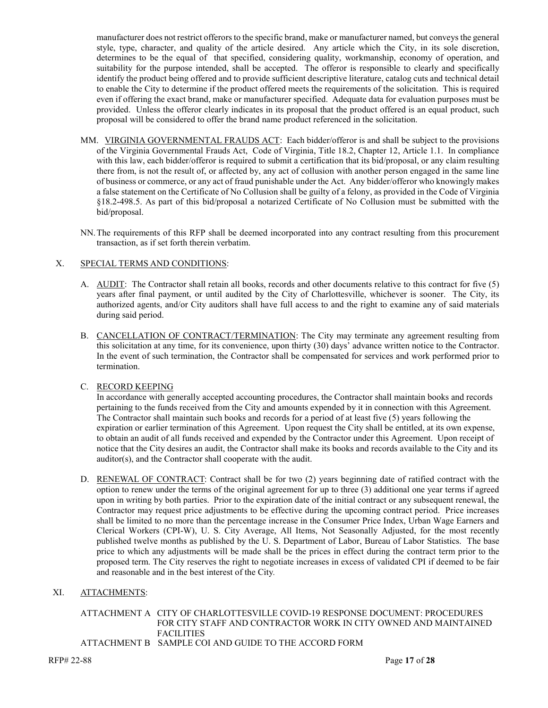manufacturer does not restrict offerors to the specific brand, make or manufacturer named, but conveys the general style, type, character, and quality of the article desired. Any article which the City, in its sole discretion, determines to be the equal of that specified, considering quality, workmanship, economy of operation, and suitability for the purpose intended, shall be accepted. The offeror is responsible to clearly and specifically identify the product being offered and to provide sufficient descriptive literature, catalog cuts and technical detail to enable the City to determine if the product offered meets the requirements of the solicitation. This is required even if offering the exact brand, make or manufacturer specified. Adequate data for evaluation purposes must be provided. Unless the offeror clearly indicates in its proposal that the product offered is an equal product, such proposal will be considered to offer the brand name product referenced in the solicitation.

- MM. VIRGINIA GOVERNMENTAL FRAUDS ACT: Each bidder/offeror is and shall be subject to the provisions of the Virginia Governmental Frauds Act, Code of Virginia, Title 18.2, Chapter 12, Article 1.1. In compliance with this law, each bidder/offeror is required to submit a certification that its bid/proposal, or any claim resulting there from, is not the result of, or affected by, any act of collusion with another person engaged in the same line of business or commerce, or any act of fraud punishable under the Act. Any bidder/offeror who knowingly makes a false statement on the Certificate of No Collusion shall be guilty of a felony, as provided in the Code of Virginia §18.2-498.5. As part of this bid/proposal a notarized Certificate of No Collusion must be submitted with the bid/proposal.
- NN.The requirements of this RFP shall be deemed incorporated into any contract resulting from this procurement transaction, as if set forth therein verbatim.

#### X. SPECIAL TERMS AND CONDITIONS:

- A. AUDIT: The Contractor shall retain all books, records and other documents relative to this contract for five (5) years after final payment, or until audited by the City of Charlottesville, whichever is sooner. The City, its authorized agents, and/or City auditors shall have full access to and the right to examine any of said materials during said period.
- B. CANCELLATION OF CONTRACT/TERMINATION: The City may terminate any agreement resulting from this solicitation at any time, for its convenience, upon thirty (30) days' advance written notice to the Contractor. In the event of such termination, the Contractor shall be compensated for services and work performed prior to termination.

#### C. RECORD KEEPING

In accordance with generally accepted accounting procedures, the Contractor shall maintain books and records pertaining to the funds received from the City and amounts expended by it in connection with this Agreement. The Contractor shall maintain such books and records for a period of at least five (5) years following the expiration or earlier termination of this Agreement. Upon request the City shall be entitled, at its own expense, to obtain an audit of all funds received and expended by the Contractor under this Agreement. Upon receipt of notice that the City desires an audit, the Contractor shall make its books and records available to the City and its auditor(s), and the Contractor shall cooperate with the audit.

D. RENEWAL OF CONTRACT: Contract shall be for two (2) years beginning date of ratified contract with the option to renew under the terms of the original agreement for up to three (3) additional one year terms if agreed upon in writing by both parties. Prior to the expiration date of the initial contract or any subsequent renewal, the Contractor may request price adjustments to be effective during the upcoming contract period. Price increases shall be limited to no more than the percentage increase in the Consumer Price Index, Urban Wage Earners and Clerical Workers (CPI-W), U. S. City Average, All Items, Not Seasonally Adjusted, for the most recently published twelve months as published by the U. S. Department of Labor, Bureau of Labor Statistics. The base price to which any adjustments will be made shall be the prices in effect during the contract term prior to the proposed term. The City reserves the right to negotiate increases in excess of validated CPI if deemed to be fair and reasonable and in the best interest of the City*.*

#### XI. ATTACHMENTS:

## ATTACHMENT A CITY OF CHARLOTTESVILLE COVID-19 RESPONSE DOCUMENT: PROCEDURES FOR CITY STAFF AND CONTRACTOR WORK IN CITY OWNED AND MAINTAINED **FACILITIES**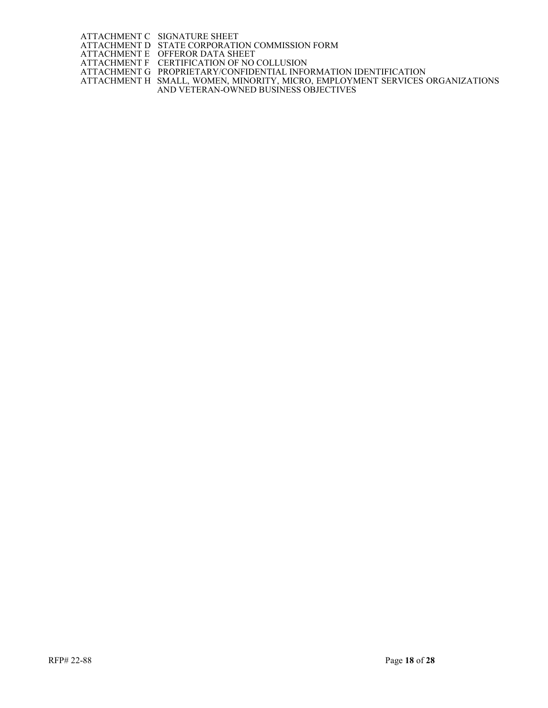ATTACHMENT C SIGNATURE SHEET ATTACHMENT D STATE CORPORATION COMMISSION FORM

ATTACHMENT E OFFEROR DATA SHEET

ATTACHMENT F CERTIFICATION OF NO COLLUSION

ATTACHMENT G PROPRIETARY/CONFIDENTIAL INFORMATION IDENTIFICATION ATTACHMENT H SMALL, WOMEN, MINORITY, MICRO, EMPLOYMENT SERVICES ORGANIZATIONS

AND VETERAN-OWNED BUSINESS OBJECTIVES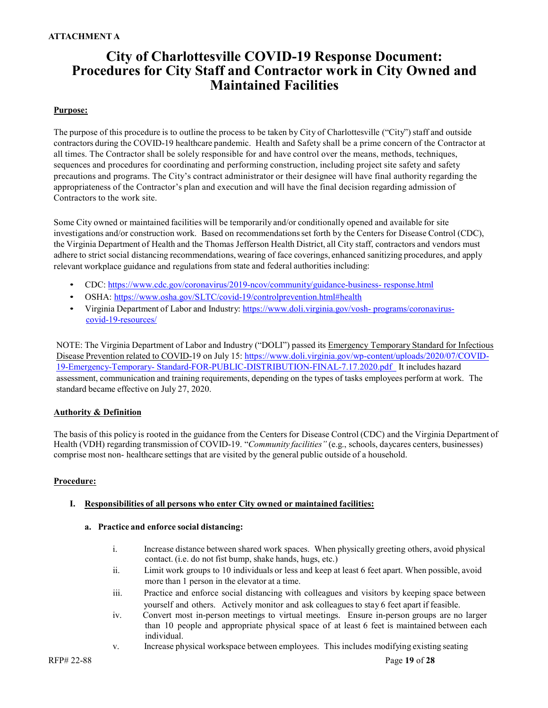### **ATTACHMENT A**

## **City of Charlottesville COVID-19 Response Document: Procedures for City Staff and Contractor work in City Owned and Maintained Facilities**

#### **Purpose:**

The purpose of this procedure is to outline the process to be taken by City of Charlottesville ("City") staff and outside contractors during the COVID-19 healthcare pandemic. Health and Safety shall be a prime concern of the Contractor at all times. The Contractor shall be solely responsible for and have control over the means, methods, techniques, sequences and procedures for coordinating and performing construction, including project site safety and safety precautions and programs. The City's contract administrator or their designee will have final authority regarding the appropriateness of the Contractor's plan and execution and will have the final decision regarding admission of Contractors to the work site.

Some City owned or maintained facilities will be temporarily and/or conditionally opened and available for site investigations and/or construction work. Based on recommendationsset forth by the Centers for Disease Control (CDC), the Virginia Department of Health and the Thomas Jefferson Health District, all City staff, contractors and vendors must adhere to strict social distancing recommendations, wearing of face coverings, enhanced sanitizing procedures, and apply relevant workplace guidance and regulations from state and federal authorities including:

- CDC: [https://www.cdc.gov/coronavirus/2019-ncov/community/guidance-business-](https://www.cdc.gov/coronavirus/2019-ncov/community/guidance-business-response.html) [response.html](https://www.cdc.gov/coronavirus/2019-ncov/community/guidance-business-response.html)
- OSHA:<https://www.osha.gov/SLTC/covid-19/controlprevention.html#health>
- Virginia Department of Labor and Industry: [https://www.doli.virginia.gov/vosh-](https://www.doli.virginia.gov/vosh-programs/coronavirus-covid-19-resources/) [programs/coronavirus](https://www.doli.virginia.gov/vosh-programs/coronavirus-covid-19-resources/)[covid-19-resources/](https://www.doli.virginia.gov/vosh-programs/coronavirus-covid-19-resources/)

NOTE: The Virginia Department of Labor and Industry ("DOLI") passed its [Emergency Temporary](https://www.doli.virginia.gov/wp-content/uploads/2020/07/COVID-19-Emergency-Temporary-Standard-FOR-PUBLIC-DISTRIBUTION-FINAL-7.17.2020.pdf) Standard for Infectious Disease [Prevention](https://www.doli.virginia.gov/wp-content/uploads/2020/07/COVID-19-Emergency-Temporary-Standard-FOR-PUBLIC-DISTRIBUTION-FINAL-7.17.2020.pdf) related to COVID-19 on July 15: [https://www.doli.virginia.gov/wp-content/uploads/2020/07/COVID-](https://www.doli.virginia.gov/wp-content/uploads/2020/07/COVID-19-Emergency-Temporary-Standard-FOR-PUBLIC-DISTRIBUTION-FINAL-7.17.2020.pdf)[19-Emergency-Temporary-](https://www.doli.virginia.gov/wp-content/uploads/2020/07/COVID-19-Emergency-Temporary-Standard-FOR-PUBLIC-DISTRIBUTION-FINAL-7.17.2020.pdf) [Standard-FOR-PUBLIC-DISTRIBUTION-FINAL-7.17.2020.pdf](https://www.doli.virginia.gov/wp-content/uploads/2020/07/COVID-19-Emergency-Temporary-Standard-FOR-PUBLIC-DISTRIBUTION-FINAL-7.17.2020.pdf) It includes hazard assessment, communication and training requirements, depending on the types of tasks employees perform at work. The standard became effective on July 27, 2020.

#### **Authority & Definition**

The basis of this policy is rooted in the guidance from the Centersfor Disease Control (CDC) and the Virginia Department of Health (VDH) regarding transmission of COVID-19. "*Community facilities"* (e.g., schools, daycares centers, businesses) comprise most non- healthcare settings that are visited by the general public outside of a household.

#### **Procedure:**

#### **I. Responsibilities of all persons who enter City owned or maintained facilities:**

#### **a. Practice and enforce social distancing:**

- i. Increase distance between shared work spaces. When physically greeting others, avoid physical contact. (i.e. do not fist bump, shake hands, hugs, etc.)
- ii. Limit work groups to 10 individuals or less and keep at least 6 feet apart. When possible, avoid more than 1 person in the elevator at a time.
- iii. Practice and enforce social distancing with colleagues and visitors by keeping space between yourself and others. Actively monitor and ask colleaguesto stay 6 feet apart if feasible.
- iv. Convert most in-person meetings to virtual meetings. Ensure in-person groups are no larger than 10 people and appropriate physical space of at least 6 feet is maintained between each individual.
- v. Increase physical workspace between employees. This includes modifying existing seating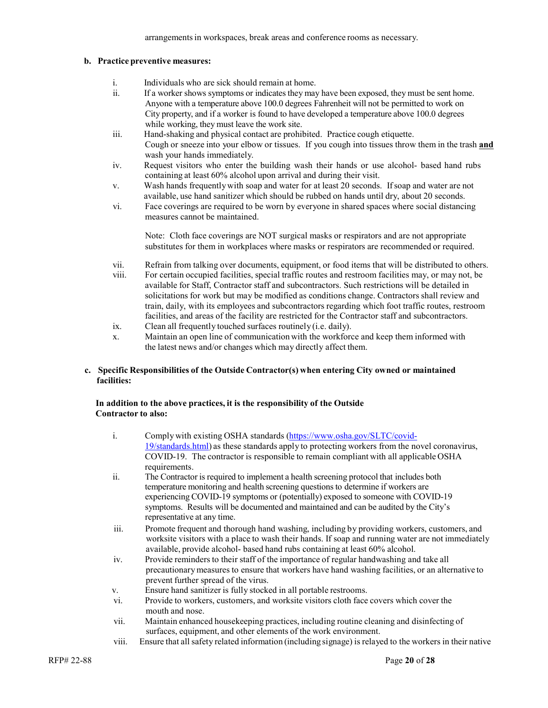arrangementsin workspaces, break areas and conference rooms as necessary.

#### **b. Practice preventive measures:**

- i. Individuals who are sick should remain at home.<br>ii If a worker shows symptoms or indicates they may
- If a worker shows symptoms or indicates they may have been exposed, they must be sent home. Anyone with a temperature above 100.0 degrees Fahrenheit will not be permitted to work on City property, and if a worker is found to have developed a temperature above 100.0 degrees while working, they must leave the work site.
- iii. Hand-shaking and physical contact are prohibited. Practice cough etiquette. Cough or sneeze into your elbow or tissues. If you cough into tissues throw them in the trash **and** wash your hands immediately.
- iv. Request visitors who enter the building wash their hands or use alcohol- based hand rubs containing at least 60% alcohol upon arrival and during their visit.
- v. Wash hands frequentlywith soap and water for at least 20 seconds. If soap and water are not available, use hand sanitizer which should be rubbed on hands until dry, about 20 seconds.
- vi. Face coverings are required to be worn by everyone in shared spaces where social distancing measures cannot be maintained.

Note: Cloth face coverings are NOT surgical masks or respirators and are not appropriate substitutes for them in workplaces where masks or respirators are recommended or required.

- vii. Refrain from talking over documents, equipment, or food items that will be distributed to others.
- viii. For certain occupied facilities, special traffic routes and restroom facilities may, or may not, be available for Staff, Contractor staff and subcontractors. Such restrictions will be detailed in solicitations for work but may be modified as conditions change. Contractors shall review and train, daily, with its employees and subcontractors regarding which foot traffic routes, restroom facilities, and areas of the facility are restricted for the Contractor staff and subcontractors.
- ix. Clean all frequently touched surfaces routinely (i.e. daily).
- x. Maintain an open line of communication with the workforce and keep them informed with the latest news and/or changes which may directly affect them.

#### **c. Specific Responsibilities of the Outside Contractor(s) when entering City owned or maintained facilities:**

#### **In addition to the above practices, it is the responsibility of the Outside Contractor to also:**

| i.    | Comply with existing OSHA standards (https://www.osha.gov/SLTC/covid-<br>19/standards.html) as these standards apply to protecting workers from the novel coronavirus,<br>COVID-19. The contractor is responsible to remain compliant with all applicable OSHA<br>requirements.                                                                                                        |
|-------|----------------------------------------------------------------------------------------------------------------------------------------------------------------------------------------------------------------------------------------------------------------------------------------------------------------------------------------------------------------------------------------|
| ii.   | The Contractor is required to implement a health screening protocol that includes both<br>temperature monitoring and health screening questions to determine if workers are<br>experiencing COVID-19 symptoms or (potentially) exposed to someone with COVID-19<br>symptoms. Results will be documented and maintained and can be audited by the City's<br>representative at any time. |
| iii.  | Promote frequent and thorough hand washing, including by providing workers, customers, and<br>worksite visitors with a place to wash their hands. If soap and running water are not immediately<br>available, provide alcohol- based hand rubs containing at least 60% alcohol.                                                                                                        |
| iv.   | Provide reminders to their staff of the importance of regular handwashing and take all<br>precautionary measures to ensure that workers have hand washing facilities, or an alternative to<br>prevent further spread of the virus.                                                                                                                                                     |
| V.    | Ensure hand sanitizer is fully stocked in all portable restrooms.                                                                                                                                                                                                                                                                                                                      |
| V1.   | Provide to workers, customers, and worksite visitors cloth face covers which cover the<br>mouth and nose.                                                                                                                                                                                                                                                                              |
| vii.  | Maintain enhanced housekeeping practices, including routine cleaning and disinfecting of<br>surfaces, equipment, and other elements of the work environment.                                                                                                                                                                                                                           |
| viii. | Ensure that all safety related information (including signage) is relayed to the workers in their native                                                                                                                                                                                                                                                                               |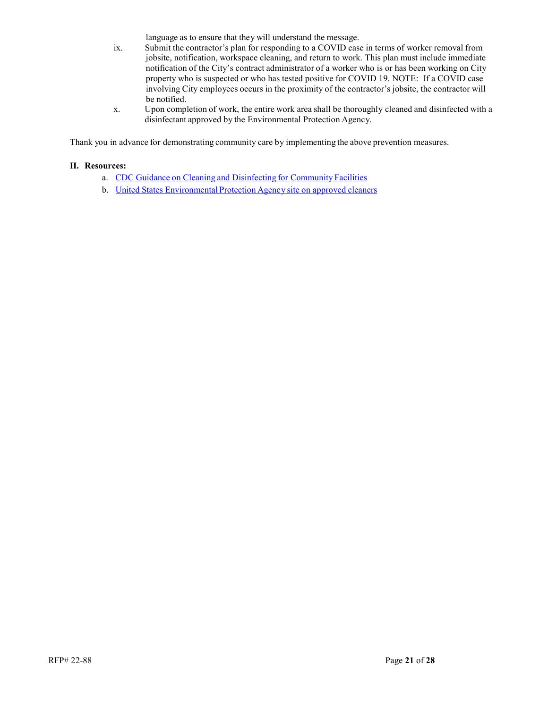language as to ensure that they will understand the message.

- ix. Submit the contractor's plan for responding to a COVID case in terms of worker removal from jobsite, notification, workspace cleaning, and return to work. This plan must include immediate notification of the City's contract administrator of a worker who is or has been working on City property who is suspected or who has tested positive for COVID 19. NOTE: If a COVID case involving City employees occurs in the proximity of the contractor's jobsite, the contractor will be notified.
- x. Upon completion of work, the entire work area shall be thoroughly cleaned and disinfected with a disinfectant approved by the Environmental Protection Agency.

Thank you in advance for demonstrating community care by implementing the above prevention measures.

#### **II. Resources:**

- a. CDC Guidance on Cleaning and [Disinfecting](https://www.cdc.gov/coronavirus/2019-ncov/community/organizations/cleaning-disinfection.html) for Community Facilities
- b. United States [Environmental](https://www.epa.gov/sites/production/files/2020-03/documents/sars-cov-2-list_03-03-2020.pdf) Protection Agency site on approved cleaners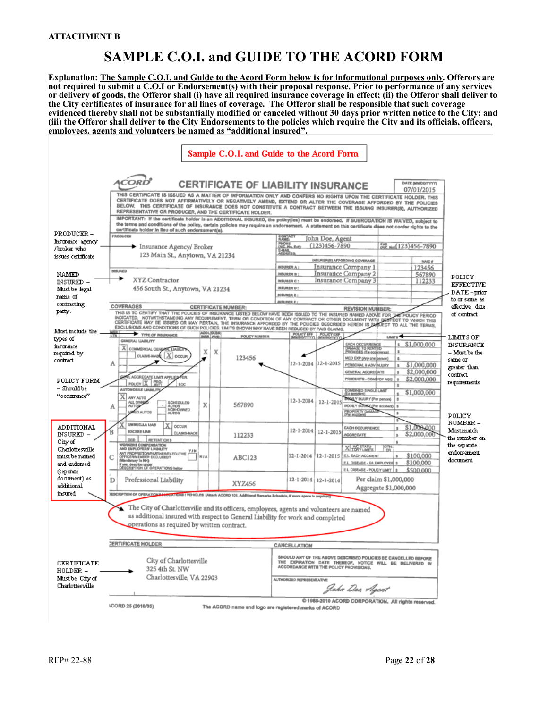# **SAMPLE C.O.I. and GUIDE TO THE ACORD FORM**

**Explanation: The Sample C.O.I. and Guide to the Acord Form below is for informational purposes only. Offerors are not required to submit a C.O.I or Endorsement(s) with their proposal response. Prior to performance of any services or delivery of goods, the Offeror shall (i) have all required insurance coverage in effect; (ii) the Offeror shall deliver to the City certificates of insurance for all lines of coverage. The Offeror shall be responsible that such coverage evidenced thereby shall not be substantially modified or canceled without 30 days prior written notice to the City; and (iii) the Offeror shall deliver to the City Endorsements to the policies which require the City and its officials, officers, employees, agents and volunteers be named as "additional insured".** 

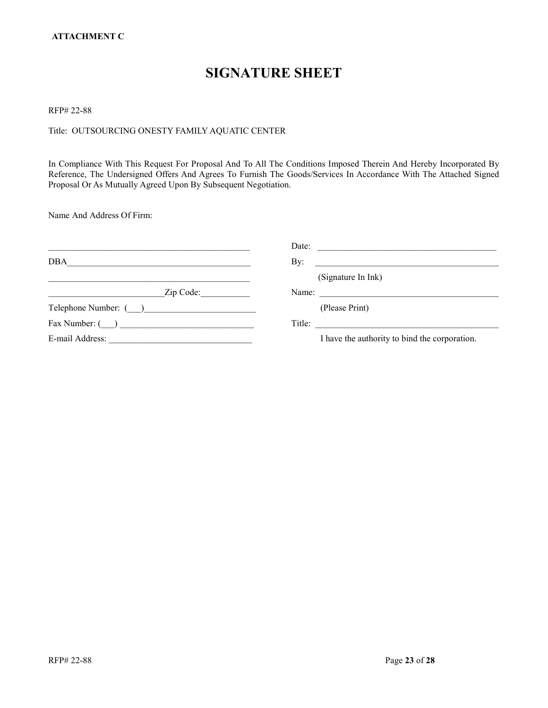# **SIGNATURE SHEET**

RFP# 22-88

## Title: OUTSOURCING ONESTY FAMILY AQUATIC CENTER

In Compliance With This Request For Proposal And To All The Conditions Imposed Therein And Hereby Incorporated By Reference, The Undersigned Offers And Agrees To Furnish The Goods/Services In Accordance With The Attached Signed Proposal Or As Mutually Agreed Upon By Subsequent Negotiation.

Name And Address Of Firm:

|                                              | Date:<br><u> 1980 - Jan Samuel Barbara, margaret e populari e populari e populari e populari e populari e populari e popu</u> |
|----------------------------------------------|-------------------------------------------------------------------------------------------------------------------------------|
| <b>DBA</b>                                   | By:<br><u> 1980 - Andrea Andrew Maria (h. 1980).</u>                                                                          |
|                                              | (Signature In Ink)                                                                                                            |
| Zip Code:                                    | Name:                                                                                                                         |
| Telephone Number: ( )                        | (Please Print)                                                                                                                |
| $\text{Fax Number: } (\_\_\_\_\_\_\_\_\_\_\$ | Title:                                                                                                                        |
| E-mail Address:                              | I have the authority to bind the corporation.                                                                                 |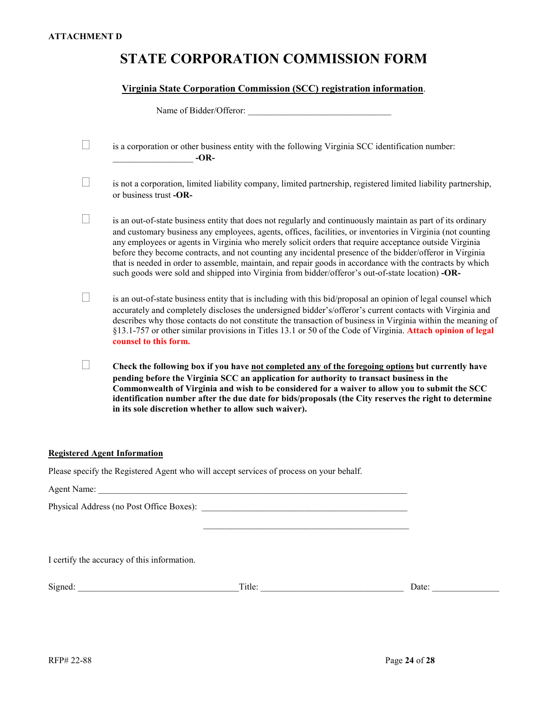# **STATE CORPORATION COMMISSION FORM**

### **Virginia State Corporation Commission (SCC) registration information**.

| Name of Bidder/Offeror:                                                                                                                                                                                                                                                                                                                                                                                                                                                                                                                                                                                                                                            |
|--------------------------------------------------------------------------------------------------------------------------------------------------------------------------------------------------------------------------------------------------------------------------------------------------------------------------------------------------------------------------------------------------------------------------------------------------------------------------------------------------------------------------------------------------------------------------------------------------------------------------------------------------------------------|
| is a corporation or other business entity with the following Virginia SCC identification number:<br>$-OR-$                                                                                                                                                                                                                                                                                                                                                                                                                                                                                                                                                         |
| is not a corporation, limited liability company, limited partnership, registered limited liability partnership,<br>or business trust -OR-                                                                                                                                                                                                                                                                                                                                                                                                                                                                                                                          |
| is an out-of-state business entity that does not regularly and continuously maintain as part of its ordinary<br>and customary business any employees, agents, offices, facilities, or inventories in Virginia (not counting<br>any employees or agents in Virginia who merely solicit orders that require acceptance outside Virginia<br>before they become contracts, and not counting any incidental presence of the bidder/offeror in Virginia<br>that is needed in order to assemble, maintain, and repair goods in accordance with the contracts by which<br>such goods were sold and shipped into Virginia from bidder/offeror's out-of-state location) -OR- |
| is an out-of-state business entity that is including with this bid/proposal an opinion of legal counsel which<br>accurately and completely discloses the undersigned bidder's/offeror's current contacts with Virginia and<br>describes why those contacts do not constitute the transaction of business in Virginia within the meaning of<br>§13.1-757 or other similar provisions in Titles 13.1 or 50 of the Code of Virginia. Attach opinion of legal<br>counsel to this form.                                                                                                                                                                                 |
| Check the following box if you have not completed any of the foregoing options but currently have<br>pending before the Virginia SCC an application for authority to transact business in the<br>Commonwealth of Virginia and wish to be considered for a waiver to allow you to submit the SCC<br>identification number after the due date for bids/proposals (the City reserves the right to determine<br>in its sole discretion whether to allow such waiver).                                                                                                                                                                                                  |

### **Registered Agent Information**

Please specify the Registered Agent who will accept services of process on your behalf.

| I certify the accuracy of this information. |        |       |
|---------------------------------------------|--------|-------|
| Signed:                                     | Title: | Date: |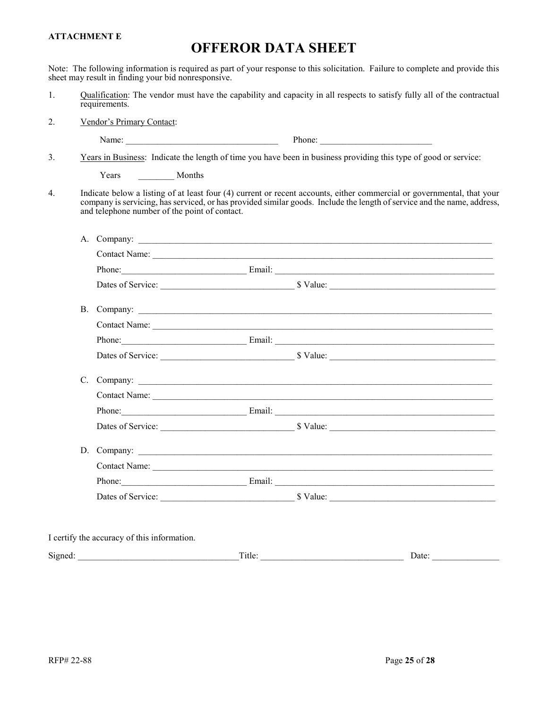#### **ATTACHMENT E**

## **OFFEROR DATA SHEET**

Note: The following information is required as part of your response to this solicitation. Failure to complete and provide this sheet may result in finding your bid nonresponsive.

- 1. Qualification: The vendor must have the capability and capacity in all respects to satisfy fully all of the contractual requirements.
- 2. Vendor's Primary Contact:

|--|--|

3. Years in Business: Indicate the length of time you have been in business providing this type of good or service:

Years Months

4. Indicate below a listing of at least four (4) current or recent accounts, either commercial or governmental, that your company is servicing, has serviced, or has provided similar goods. Include the length of service and the name, address, and telephone number of the point of contact.

|  | Phone: Email: Email: Email: Email: Email: Email: Email: Email: Email: Email: Email: Email: Email: Email: Email: Email: Email: Email: Email: Email: Email: Email: Email: Email: Email: Email: Email: Email: Email: Email: Email |  |
|--|--------------------------------------------------------------------------------------------------------------------------------------------------------------------------------------------------------------------------------|--|
|  |                                                                                                                                                                                                                                |  |
|  |                                                                                                                                                                                                                                |  |
|  | B. Company:                                                                                                                                                                                                                    |  |
|  |                                                                                                                                                                                                                                |  |
|  | Phone: Email: Email: Email: Email: Email: Email: Email: Email: Email: Email: Email: Email: Email: Email: Email: Email: Email: Email: Email: Email: Email: Email: Email: Email: Email: Email: Email: Email: Email: Email: Email |  |
|  | Dates of Service: San American Studies Studies Studies Studies Studies Studies Studies Studies Studies Studies                                                                                                                 |  |
|  |                                                                                                                                                                                                                                |  |
|  |                                                                                                                                                                                                                                |  |
|  |                                                                                                                                                                                                                                |  |
|  |                                                                                                                                                                                                                                |  |
|  | D. Company:                                                                                                                                                                                                                    |  |
|  |                                                                                                                                                                                                                                |  |
|  |                                                                                                                                                                                                                                |  |
|  | Dates of Service: Sanction States States States States States States States States States States States States                                                                                                                 |  |

Signed: Title: Date: Date: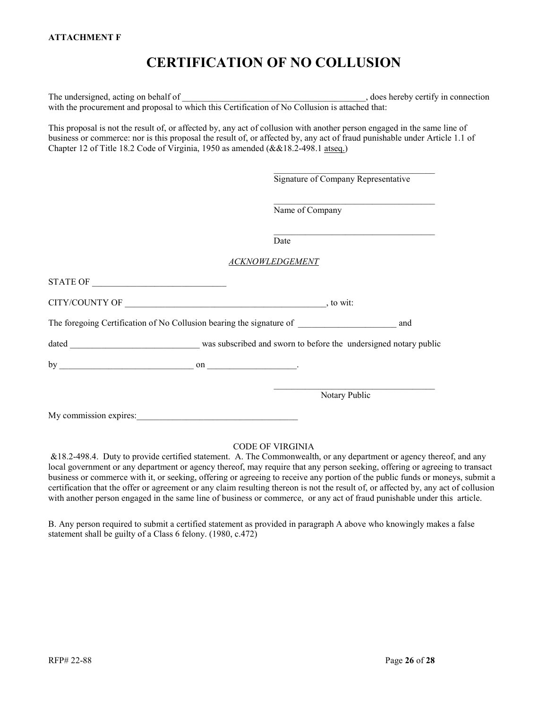# **CERTIFICATION OF NO COLLUSION**

The undersigned, acting on behalf of  $\Box$   $\Box$   $\Box$   $\Box$   $\Box$   $\Box$  does hereby certify in connection with the procurement and proposal to which this Certification of No Collusion is attached that:

This proposal is not the result of, or affected by, any act of collusion with another person engaged in the same line of business or commerce: nor is this proposal the result of, or affected by, any act of fraud punishable under Article 1.1 of Chapter 12 of Title 18.2 Code of Virginia, 1950 as amended (&&18.2-498.1 atseq.)

Signature of Company Representative

\_\_\_\_\_\_\_\_\_\_\_\_\_\_\_\_\_\_\_\_\_\_\_\_\_\_\_\_\_\_\_\_\_\_\_\_

\_\_\_\_\_\_\_\_\_\_\_\_\_\_\_\_\_\_\_\_\_\_\_\_\_\_\_\_\_\_\_\_\_\_\_\_

\_\_\_\_\_\_\_\_\_\_\_\_\_\_\_\_\_\_\_\_\_\_\_\_\_\_\_\_\_\_\_\_\_\_\_\_

Name of Company

Date

#### *ACKNOWLEDGEMENT*

| STATE OF                                                             |                                                                  |               |     |
|----------------------------------------------------------------------|------------------------------------------------------------------|---------------|-----|
| CITY/COUNTY OF                                                       |                                                                  | , to wit:     |     |
| The foregoing Certification of No Collusion bearing the signature of |                                                                  |               | and |
| dated<br><u> 1989 - Johann Barbara, martxa alemaniar a</u>           | was subscribed and sworn to before the undersigned notary public |               |     |
| by<br>$\mathbf{on}$ .                                                |                                                                  |               |     |
|                                                                      |                                                                  | Notary Public |     |
| My commission expires:                                               |                                                                  |               |     |

#### CODE OF VIRGINIA

&18.2-498.4. Duty to provide certified statement. A. The Commonwealth, or any department or agency thereof, and any local government or any department or agency thereof, may require that any person seeking, offering or agreeing to transact business or commerce with it, or seeking, offering or agreeing to receive any portion of the public funds or moneys, submit a certification that the offer or agreement or any claim resulting thereon is not the result of, or affected by, any act of collusion with another person engaged in the same line of business or commerce, or any act of fraud punishable under this article.

B. Any person required to submit a certified statement as provided in paragraph A above who knowingly makes a false statement shall be guilty of a Class 6 felony. (1980, c.472)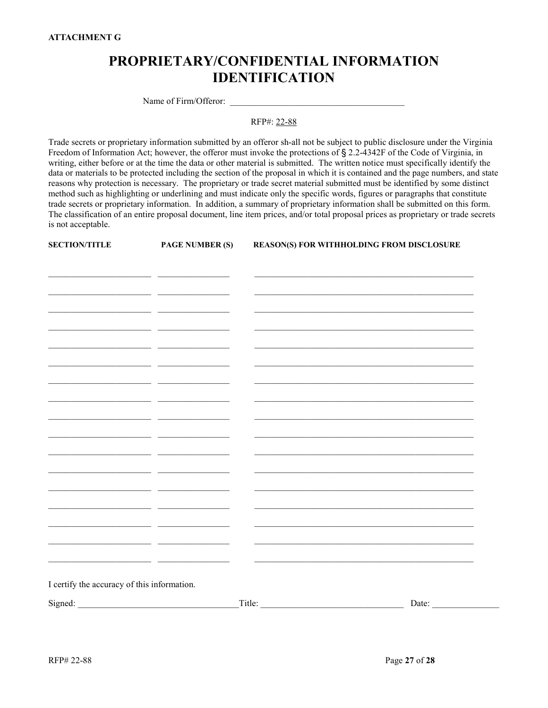# **PROPRIETARY/CONFIDENTIAL INFORMATION IDENTIFICATION**

Name of Firm/Offeror:

RFP#: 22-88

Trade secrets or proprietary information submitted by an offeror sh-all not be subject to public disclosure under the Virginia Freedom of Information Act; however, the offeror must invoke the protections of § 2.2-4342F of the Code of Virginia, in writing, either before or at the time the data or other material is submitted. The written notice must specifically identify the data or materials to be protected including the section of the proposal in which it is contained and the page numbers, and state reasons why protection is necessary. The proprietary or trade secret material submitted must be identified by some distinct method such as highlighting or underlining and must indicate only the specific words, figures or paragraphs that constitute trade secrets or proprietary information. In addition, a summary of proprietary information shall be submitted on this form. The classification of an entire proposal document, line item prices, and/or total proposal prices as proprietary or trade secrets is not acceptable.

| <b>SECTION/TITLE</b>                        | <b>PAGE NUMBER (S)</b> | REASON(S) FOR WITHHOLDING FROM DISCLOSURE |  |
|---------------------------------------------|------------------------|-------------------------------------------|--|
|                                             |                        |                                           |  |
|                                             |                        |                                           |  |
|                                             |                        |                                           |  |
|                                             |                        |                                           |  |
|                                             |                        |                                           |  |
|                                             |                        |                                           |  |
|                                             |                        |                                           |  |
|                                             |                        |                                           |  |
|                                             |                        |                                           |  |
|                                             |                        |                                           |  |
|                                             |                        |                                           |  |
|                                             |                        |                                           |  |
|                                             |                        |                                           |  |
|                                             |                        |                                           |  |
|                                             | __                     |                                           |  |
|                                             |                        |                                           |  |
|                                             | _ _                    |                                           |  |
| I certify the accuracy of this information. |                        |                                           |  |
|                                             |                        | Title: $\qquad \qquad$ Title:<br>Date:    |  |